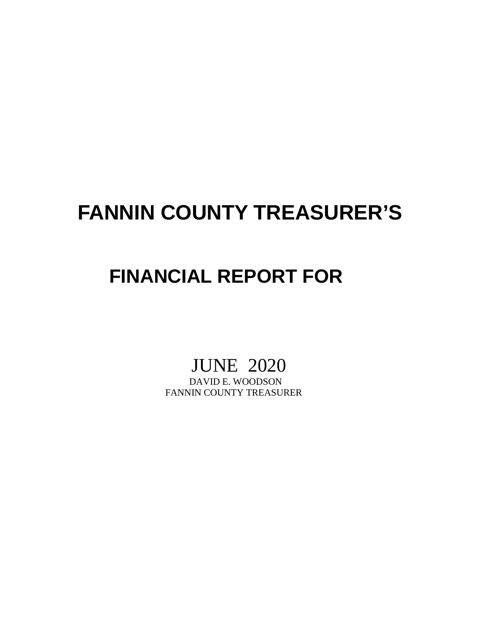# **FANNIN COUNTY TREASURER'S**

## **FINANCIAL REPORT FOR**

# JUNE 2020<br>DAVID E. WOODSON

FANNIN COUNTY TREASURER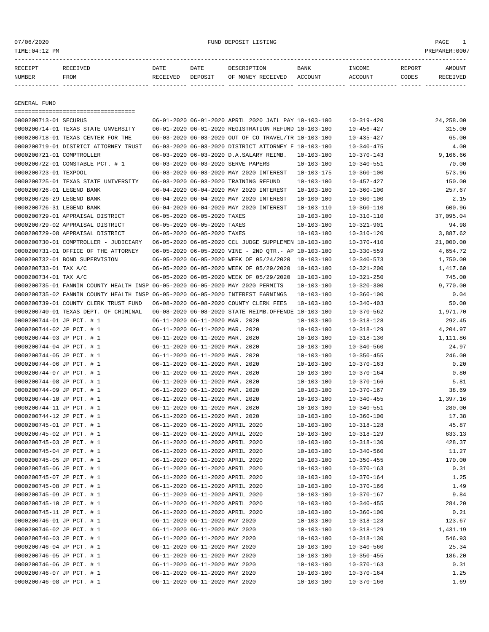#### or of the control of the control of the control of the control of the control of the control of the control of the control of the control of the control of the control of the control of the control of the control of the co

| RECEIPT | RECEIVED | DATE     | DATE    | DESCRIPTION               | <b>BANK</b> | INCOME  | REPORT | AMOUNT   |
|---------|----------|----------|---------|---------------------------|-------------|---------|--------|----------|
| NUMBER  | FROM     | RECEIVED | DEPOSIT | OF MONEY RECEIVED ACCOUNT |             | ACCOUNT | CODES  | RECEIVED |
|         |          |          |         |                           |             |         |        |          |

GENERAL FUND

| =====================================                                           |                                  |                                                      |                  |                  |           |
|---------------------------------------------------------------------------------|----------------------------------|------------------------------------------------------|------------------|------------------|-----------|
| 0000200713-01 SECURUS                                                           |                                  | 06-01-2020 06-01-2020 APRIL 2020 JAIL PAY 10-103-100 |                  | $10 - 319 - 420$ | 24,258.00 |
| 0000200714-01 TEXAS STATE UNVERSITY                                             |                                  | 06-01-2020 06-01-2020 REGISTRATION REFUND 10-103-100 |                  | $10 - 456 - 427$ | 315.00    |
| 0000200718-01 TEXAS CENTER FOR THE                                              |                                  | 06-03-2020 06-03-2020 OUT OF CO TRAVEL/TR 10-103-100 |                  | $10 - 435 - 427$ | 65.00     |
| 0000200719-01 DISTRICT ATTORNEY TRUST                                           |                                  | 06-03-2020 06-03-2020 DISTRICT ATTORNEY F 10-103-100 |                  | $10 - 340 - 475$ | 4.00      |
| 0000200721-01 COMPTROLLER                                                       |                                  | 06-03-2020 06-03-2020 D.A.SALARY REIMB.              | 10-103-100       | 10-370-143       | 9,166.66  |
| 0000200722-01 CONSTABLE PCT. # 1                                                |                                  | 06-03-2020 06-03-2020 SERVE PAPERS                   | $10 - 103 - 100$ | $10 - 340 - 551$ | 70.00     |
| 0000200723-01 TEXPOOL                                                           |                                  | 06-03-2020 06-03-2020 MAY 2020 INTEREST              | $10 - 103 - 175$ | $10 - 360 - 100$ | 573.96    |
| 0000200725-01 TEXAS STATE UNIVERSITY                                            |                                  | 06-03-2020 06-03-2020 TRAINING REFUND                | $10 - 103 - 100$ | $10 - 457 - 427$ | 150.00    |
| 0000200726-01 LEGEND BANK                                                       |                                  | 06-04-2020 06-04-2020 MAY 2020 INTEREST              | $10 - 103 - 100$ | $10 - 360 - 100$ | 257.67    |
| 0000200726-29 LEGEND BANK                                                       |                                  | 06-04-2020 06-04-2020 MAY 2020 INTEREST              | $10 - 100 - 100$ | $10 - 360 - 100$ | 2.15      |
| 0000200726-31 LEGEND BANK                                                       |                                  | 06-04-2020 06-04-2020 MAY 2020 INTEREST              | $10 - 103 - 110$ | $10 - 360 - 110$ | 600.96    |
| 0000200729-01 APPRAISAL DISTRICT                                                | 06-05-2020 06-05-2020 TAXES      |                                                      | $10 - 103 - 100$ | $10 - 310 - 110$ | 37,095.04 |
| 0000200729-02 APPRAISAL DISTRICT                                                | 06-05-2020 06-05-2020 TAXES      |                                                      | $10 - 103 - 100$ | $10 - 321 - 901$ | 94.98     |
| 0000200729-08 APPRAISAL DISTRICT                                                | 06-05-2020 06-05-2020 TAXES      |                                                      | $10 - 103 - 100$ | $10 - 310 - 120$ | 3,887.62  |
| 0000200730-01 COMPTROLLER - JUDICIARY                                           |                                  | 06-05-2020 06-05-2020 CCL JUDGE SUPPLEMEN 10-103-100 |                  | $10 - 370 - 410$ | 21,000.00 |
| 0000200731-01 OFFICE OF THE ATTORNEY                                            |                                  | 06-05-2020 06-05-2020 VINE - 2ND QTR.- AP 10-103-100 |                  | $10 - 330 - 559$ | 4,654.72  |
| 0000200732-01 BOND SUPERVISION                                                  |                                  | 06-05-2020 06-05-2020 WEEK OF 05/24/2020             | 10-103-100       | $10 - 340 - 573$ | 1,750.00  |
| 0000200733-01 TAX A/C                                                           |                                  | 06-05-2020 06-05-2020 WEEK OF 05/29/2020             | 10-103-100       | $10 - 321 - 200$ | 1,417.60  |
| 0000200734-01 TAX A/C                                                           |                                  | 06-05-2020 06-05-2020 WEEK OF 05/29/2020             | 10-103-100       | $10 - 321 - 250$ | 745.00    |
| 0000200735-01 FANNIN COUNTY HEALTH INSP 06-05-2020 06-05-2020 MAY 2020 PERMITS  |                                  |                                                      | $10 - 103 - 100$ | $10 - 320 - 300$ | 9,770.00  |
| 0000200735-02 FANNIN COUNTY HEALTH INSP 06-05-2020 06-05-2020 INTEREST EARNINGS |                                  |                                                      | $10 - 103 - 100$ | $10 - 360 - 100$ | 0.04      |
| 0000200739-01 COUNTY CLERK TRUST FUND                                           |                                  | 06-08-2020 06-08-2020 COUNTY CLERK FEES              | $10 - 103 - 100$ | $10 - 340 - 403$ | 50.00     |
| 0000200740-01 TEXAS DEPT. OF CRIMINAL                                           |                                  | 06-08-2020 06-08-2020 STATE REIMB.OFFENDE 10-103-100 |                  | $10 - 370 - 562$ | 1,971.70  |
| 0000200744-01 JP PCT. # 1                                                       | 06-11-2020 06-11-2020 MAR. 2020  |                                                      | $10 - 103 - 100$ | $10 - 318 - 128$ | 292.45    |
| 0000200744-02 JP PCT. # 1                                                       | 06-11-2020 06-11-2020 MAR. 2020  |                                                      | $10 - 103 - 100$ | $10 - 318 - 129$ | 4,204.97  |
| 0000200744-03 JP PCT. # 1                                                       | 06-11-2020 06-11-2020 MAR. 2020  |                                                      | $10 - 103 - 100$ | $10 - 318 - 130$ | 1,111.86  |
| 0000200744-04 JP PCT. # 1                                                       | 06-11-2020 06-11-2020 MAR. 2020  |                                                      | $10 - 103 - 100$ | $10 - 340 - 560$ | 24.97     |
| 0000200744-05 JP PCT. # 1                                                       | 06-11-2020 06-11-2020 MAR. 2020  |                                                      | $10 - 103 - 100$ | $10 - 350 - 455$ | 246.00    |
| 0000200744-06 JP PCT. # 1                                                       | 06-11-2020 06-11-2020 MAR. 2020  |                                                      | $10 - 103 - 100$ | $10 - 370 - 163$ | 0.20      |
| 0000200744-07 JP PCT. # 1                                                       | 06-11-2020 06-11-2020 MAR. 2020  |                                                      | $10 - 103 - 100$ | $10 - 370 - 164$ | 0.80      |
| 0000200744-08 JP PCT. # 1                                                       | 06-11-2020 06-11-2020 MAR. 2020  |                                                      | $10 - 103 - 100$ | $10 - 370 - 166$ | 5.81      |
| 0000200744-09 JP PCT. # 1                                                       | 06-11-2020 06-11-2020 MAR. 2020  |                                                      | $10 - 103 - 100$ | $10 - 370 - 167$ | 38.69     |
| 0000200744-10 JP PCT. # 1                                                       | 06-11-2020 06-11-2020 MAR. 2020  |                                                      | $10 - 103 - 100$ | $10 - 340 - 455$ | 1,397.16  |
| 0000200744-11 JP PCT. # 1                                                       | 06-11-2020 06-11-2020 MAR. 2020  |                                                      | $10 - 103 - 100$ | $10 - 340 - 551$ | 280.00    |
| 0000200744-12 JP PCT. # 1                                                       | 06-11-2020 06-11-2020 MAR. 2020  |                                                      | $10 - 103 - 100$ | $10 - 360 - 100$ | 17.38     |
| 0000200745-01 JP PCT. # 1                                                       | 06-11-2020 06-11-2020 APRIL 2020 |                                                      | $10 - 103 - 100$ | $10 - 318 - 128$ | 45.87     |
| 0000200745-02 JP PCT. # 1                                                       | 06-11-2020 06-11-2020 APRIL 2020 |                                                      | $10 - 103 - 100$ | $10 - 318 - 129$ | 633.13    |
| 0000200745-03 JP PCT. # 1                                                       | 06-11-2020 06-11-2020 APRIL 2020 |                                                      | $10 - 103 - 100$ | $10 - 318 - 130$ | 428.37    |
| 0000200745-04 JP PCT. # 1                                                       | 06-11-2020 06-11-2020 APRIL 2020 |                                                      | $10 - 103 - 100$ | $10 - 340 - 560$ | 11.27     |
| 0000200745-05 JP PCT. # 1                                                       | 06-11-2020 06-11-2020 APRIL 2020 |                                                      | $10 - 103 - 100$ | $10 - 350 - 455$ | 170.00    |
| 0000200745-06 JP PCT. # 1                                                       | 06-11-2020 06-11-2020 APRIL 2020 |                                                      | $10 - 103 - 100$ | $10 - 370 - 163$ | 0.31      |
| 0000200745-07 JP PCT. # 1                                                       | 06-11-2020 06-11-2020 APRIL 2020 |                                                      | $10 - 103 - 100$ | $10 - 370 - 164$ | 1.25      |
| 0000200745-08 JP PCT. # 1                                                       | 06-11-2020 06-11-2020 APRIL 2020 |                                                      | $10 - 103 - 100$ | $10 - 370 - 166$ | 1.49      |
| 0000200745-09 JP PCT. # 1                                                       | 06-11-2020 06-11-2020 APRIL 2020 |                                                      | $10 - 103 - 100$ | $10 - 370 - 167$ | 9.84      |
| 0000200745-10 JP PCT. # 1                                                       | 06-11-2020 06-11-2020 APRIL 2020 |                                                      | $10 - 103 - 100$ | $10 - 340 - 455$ | 284.20    |
| 0000200745-11 JP PCT. # 1                                                       | 06-11-2020 06-11-2020 APRIL 2020 |                                                      | $10 - 103 - 100$ | $10 - 360 - 100$ | 0.21      |
| 0000200746-01 JP PCT. # 1                                                       | 06-11-2020 06-11-2020 MAY 2020   |                                                      | $10 - 103 - 100$ | $10 - 318 - 128$ | 123.67    |
| 0000200746-02 JP PCT. # 1                                                       | 06-11-2020 06-11-2020 MAY 2020   |                                                      | $10 - 103 - 100$ | $10 - 318 - 129$ | 1,431.19  |
| 0000200746-03 JP PCT. # 1                                                       | 06-11-2020 06-11-2020 MAY 2020   |                                                      | $10 - 103 - 100$ | $10 - 318 - 130$ | 546.93    |
| 0000200746-04 JP PCT. # 1                                                       | 06-11-2020 06-11-2020 MAY 2020   |                                                      | $10 - 103 - 100$ | $10 - 340 - 560$ | 25.34     |
| 0000200746-05 JP PCT. # 1                                                       | 06-11-2020 06-11-2020 MAY 2020   |                                                      | $10 - 103 - 100$ | $10 - 350 - 455$ | 186.20    |
| 0000200746-06 JP PCT. # 1                                                       | 06-11-2020 06-11-2020 MAY 2020   |                                                      | $10 - 103 - 100$ | $10 - 370 - 163$ | 0.31      |
| 0000200746-07 JP PCT. # 1                                                       | 06-11-2020 06-11-2020 MAY 2020   |                                                      | $10 - 103 - 100$ | $10 - 370 - 164$ | 1.25      |
| 0000200746-08 JP PCT. # 1                                                       | 06-11-2020 06-11-2020 MAY 2020   |                                                      | $10 - 103 - 100$ | $10 - 370 - 166$ | 1.69      |
|                                                                                 |                                  |                                                      |                  |                  |           |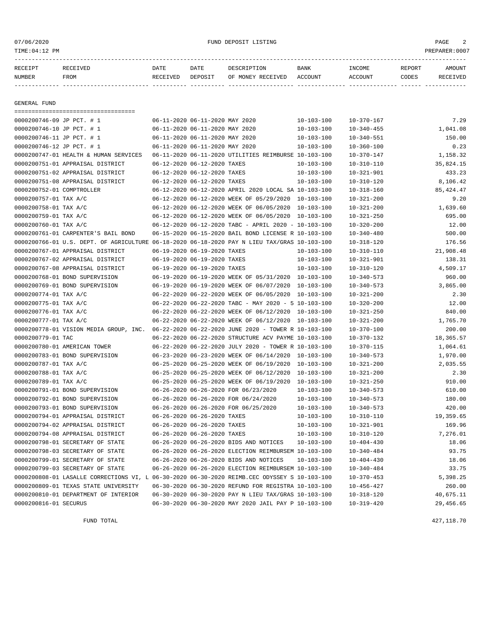| 07/06/2020<br>TIME: 04:12 PM |                                                                                              |                  |                                | FUND DEPOSIT LISTING                                     |                  |                          |                 | PAGE<br>PREPARER: 0007 |
|------------------------------|----------------------------------------------------------------------------------------------|------------------|--------------------------------|----------------------------------------------------------|------------------|--------------------------|-----------------|------------------------|
| RECEIPT<br>NUMBER            | RECEIVED<br>FROM                                                                             | DATE<br>RECEIVED | DATE<br>DEPOSIT                | DESCRIPTION<br>OF MONEY RECEIVED                         | BANK<br>ACCOUNT  | INCOME<br><b>ACCOUNT</b> | REPORT<br>CODES | AMOUNT<br>RECEIVED     |
| <b>GENERAL FUND</b>          |                                                                                              |                  |                                |                                                          |                  |                          |                 |                        |
|                              | ====================================                                                         |                  |                                |                                                          |                  |                          |                 |                        |
| 0000200746-09 JP PCT. # 1    |                                                                                              |                  | 06-11-2020 06-11-2020 MAY 2020 |                                                          | $10 - 103 - 100$ | 10-370-167               |                 | 7.29                   |
| 0000200746-10 JP PCT. # 1    |                                                                                              |                  | 06-11-2020 06-11-2020 MAY 2020 |                                                          | $10 - 103 - 100$ | $10 - 340 - 455$         |                 | 1,041.08               |
| 0000200746-11 JP PCT. # 1    |                                                                                              |                  | 06-11-2020 06-11-2020 MAY 2020 |                                                          | $10 - 103 - 100$ | $10 - 340 - 551$         |                 | 150.00                 |
| 0000200746-12 JP PCT. # 1    |                                                                                              |                  | 06-11-2020 06-11-2020 MAY 2020 |                                                          | $10 - 103 - 100$ | $10 - 360 - 100$         |                 | 0.23                   |
|                              | 0000200747-01 HEALTH & HUMAN SERVICES                                                        |                  |                                | 06-11-2020 06-11-2020 UTILITIES REIMBURSE 10-103-100     |                  | $10 - 370 - 147$         |                 | 1,158.32               |
|                              | 0000200751-01 APPRAISAL DISTRICT                                                             |                  | 06-12-2020 06-12-2020 TAXES    |                                                          | $10 - 103 - 100$ | $10 - 310 - 110$         |                 | 35,824.15              |
|                              | 0000200751-02 APPRAISAL DISTRICT                                                             |                  | 06-12-2020 06-12-2020 TAXES    |                                                          | $10 - 103 - 100$ | $10 - 321 - 901$         |                 | 433.23                 |
|                              | 0000200751-08 APPRAISAL DISTRICT                                                             |                  | 06-12-2020 06-12-2020 TAXES    |                                                          | $10 - 103 - 100$ | $10 - 310 - 120$         |                 | 8,106.42               |
| 0000200752-01 COMPTROLLER    |                                                                                              |                  |                                | 06-12-2020 06-12-2020 APRIL 2020 LOCAL SA 10-103-100     |                  | $10 - 318 - 160$         |                 | 85, 424.47             |
| 0000200757-01 TAX A/C        |                                                                                              |                  |                                | 06-12-2020 06-12-2020 WEEK OF 05/29/2020                 | 10-103-100       | $10 - 321 - 200$         |                 | 9.20                   |
| 0000200758-01 TAX A/C        |                                                                                              |                  |                                | 06-12-2020 06-12-2020 WEEK OF 06/05/2020 10-103-100      |                  | $10 - 321 - 200$         |                 | 1,639.60               |
| 0000200759-01 TAX A/C        |                                                                                              |                  |                                | 06-12-2020 06-12-2020 WEEK OF 06/05/2020 10-103-100      |                  | $10 - 321 - 250$         |                 | 695.00                 |
| 0000200760-01 TAX A/C        |                                                                                              |                  |                                | 06-12-2020 06-12-2020 TABC - APRIL 2020 - 10-103-100     |                  | $10 - 320 - 200$         |                 | 12.00                  |
|                              | 0000200761-01 CARPENTER'S BAIL BOND                                                          |                  |                                | 06-15-2020 06-15-2020 BAIL BOND LICENSE R 10-103-100     |                  | $10 - 340 - 480$         |                 | 500.00                 |
|                              | 0000200766-01 U.S. DEPT. OF AGRICULTURE 06-18-2020 06-18-2020 PAY N LIEU TAX/GRAS 10-103-100 |                  |                                |                                                          |                  | $10 - 318 - 120$         |                 | 176.56                 |
|                              | 0000200767-01 APPRAISAL DISTRICT                                                             |                  | 06-19-2020 06-19-2020 TAXES    |                                                          | $10 - 103 - 100$ | $10 - 310 - 110$         |                 | 21,908.48              |
|                              | 0000200767-02 APPRAISAL DISTRICT                                                             |                  | 06-19-2020 06-19-2020 TAXES    |                                                          | $10 - 103 - 100$ | $10 - 321 - 901$         |                 | 138.31                 |
|                              | 0000200767-08 APPRAISAL DISTRICT                                                             |                  | 06-19-2020 06-19-2020 TAXES    |                                                          | $10 - 103 - 100$ | $10 - 310 - 120$         |                 | 4,509.17               |
|                              | 0000200768-01 BOND SUPERVISION                                                               |                  |                                | 06-19-2020 06-19-2020 WEEK OF 05/31/2020 10-103-100      |                  | $10 - 340 - 573$         |                 | 960.00                 |
|                              | 0000200769-01 BOND SUPERVISION                                                               |                  |                                | 06-19-2020 06-19-2020 WEEK OF 06/07/2020 10-103-100      |                  | $10 - 340 - 573$         |                 | 3,865.00               |
| 0000200774-01 TAX A/C        |                                                                                              |                  |                                | 06-22-2020 06-22-2020 WEEK OF 06/05/2020                 | 10-103-100       | $10 - 321 - 200$         |                 | 2.30                   |
| 0000200775-01 TAX A/C        |                                                                                              |                  |                                | $06-22-2020$ $06-22-2020$ TABC - MAY 2020 - 5 10-103-100 |                  | $10 - 320 - 200$         |                 | 12.00                  |
| 0000200776-01 TAX A/C        |                                                                                              |                  |                                | 06-22-2020 06-22-2020 WEEK OF 06/12/2020                 | 10-103-100       | $10 - 321 - 250$         |                 | 840.00                 |
| 0000200777-01 TAX A/C        |                                                                                              |                  |                                | 06-22-2020 06-22-2020 WEEK OF 06/12/2020                 | 10-103-100       | $10 - 321 - 200$         |                 | 1,765.70               |
|                              | 0000200778-01 VISION MEDIA GROUP, INC.                                                       |                  |                                | 06-22-2020 06-22-2020 JUNE 2020 - TOWER R 10-103-100     |                  | $10 - 370 - 100$         |                 | 200.00                 |
| 0000200779-01 TAC            |                                                                                              |                  |                                | 06-22-2020 06-22-2020 STRUCTURE ACV PAYME 10-103-100     |                  | $10 - 370 - 132$         |                 | 18,365.57              |
|                              | 0000200780-01 AMERICAN TOWER                                                                 |                  |                                | 06-22-2020 06-22-2020 JULY 2020 - TOWER R 10-103-100     |                  | $10 - 370 - 115$         |                 | 1,064.61               |
|                              | 0000200783-01 BOND SUPERVISION                                                               |                  |                                | 06-23-2020 06-23-2020 WEEK OF 06/14/2020                 | 10-103-100       | $10 - 340 - 573$         |                 | 1,970.00               |
| 0000200787-01 TAX A/C        |                                                                                              |                  |                                | 06-25-2020 06-25-2020 WEEK OF 06/19/2020 10-103-100      |                  | $10 - 321 - 200$         |                 | 2,035.55               |
| 0000200788-01 TAX A/C        |                                                                                              |                  |                                | 06-25-2020 06-25-2020 WEEK OF 06/12/2020                 | 10-103-100       | $10 - 321 - 200$         |                 | 2.30                   |
| 0000200789-01 TAX A/C        |                                                                                              |                  |                                | 06-25-2020 06-25-2020 WEEK OF 06/19/2020                 | 10-103-100       | $10 - 321 - 250$         |                 | 910.00                 |
|                              | 0000200791-01 BOND SUPERVISION                                                               |                  |                                | 06-26-2020 06-26-2020 FOR 06/23/2020                     | $10 - 103 - 100$ | $10 - 340 - 573$         |                 | 610.00                 |

0000200792-01 BOND SUPERVISION 06-26-2020 06-26-2020 FOR 06/24/2020 10-103-100 10-340-573 180.00 0000200793-01 BOND SUPERVISION 06-26-2020 06-26-2020 FOR 06/25/2020 10-103-100 10-340-573 420.00 0000200794-01 APPRAISAL DISTRICT 06-26-2020 06-26-2020 TAXES 10-103-100 10-310-110 19,359.65 0000200794-02 APPRAISAL DISTRICT 06-26-2020 06-26-2020 TAXES 10-103-100 10-321-901 169.96 0000200794-08 APPRAISAL DISTRICT 06-26-2020 06-26-2020 TAXES 10-103-100 10-310-120 7,276.01 0000200798-01 SECRETARY OF STATE 06-26-2020 06-26-2020 BIDS AND NOTICES 10-103-100 10-404-430 18.06 0000200798-03 SECRETARY OF STATE 06-26-2020 06-26-2020 ELECTION REIMBURSEM 10-103-100 10-340-484 93.75 0000200799-01 SECRETARY OF STATE 06-26-2020 06-26-2020 BIDS AND NOTICES 10-103-100 10-404-430 18.06 0000200799-03 SECRETARY OF STATE 06-26-2020 06-26-2020 ELECTION REIMBURSEM 10-103-100 10-340-484 33.75 0000200808-01 LASALLE CORRECTIONS VI, L 06-30-2020 06-30-2020 REIMB.CEC ODYSSEY S 10-103-100 10-370-453 5,398.25 0000200809-01 TEXAS STATE UNIVERSITY 06-30-2020 06-30-2020 REFUND FOR REGISTRA 10-103-100 10-456-427 260.00 0000200810-01 DEPARTMENT OF INTERIOR 06-30-2020 06-30-2020 PAY N LIEU TAX/GRAS 10-103-100 10-318-120 40,675.11 0000200816-01 SECURUS 06-30-2020 06-30-2020 MAY 2020 JAIL PAY P 10-103-100 10-319-420 29,456.65

FUND TOTAL 427,118.70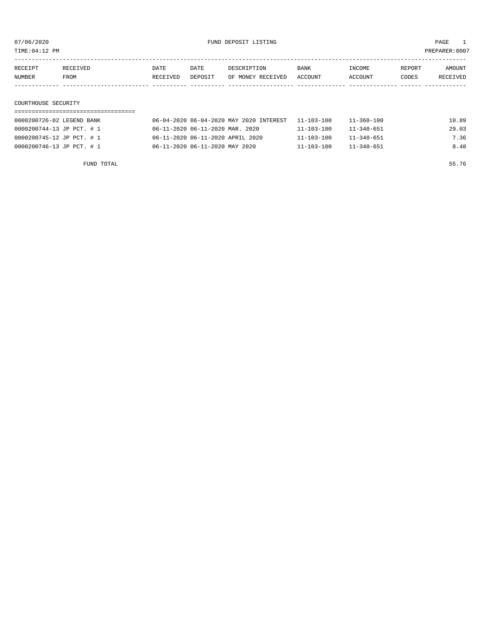TIME:04:12 PM PREPARER:0007

| RECEIPT       | RECEIVED | DATE     | DATE    | DESCRIPTION               | <b>BANK</b> | INCOME  | REPORT | AMOUNT          |
|---------------|----------|----------|---------|---------------------------|-------------|---------|--------|-----------------|
| <b>NUMBER</b> | FROM     | RECEIVED | DEPOSIT | OF MONEY RECEIVED ACCOUNT |             | ACCOUNT | CODES  | <b>RECEIVED</b> |
|               |          |          |         |                           |             |         |        |                 |

#### COURTHOUSE SECURITY

| 0000200726-02 LEGEND BANK | 06-04-2020 06-04-2020 MAY 2020 INTEREST 11-103-100 |                  | 11-360-100       | 10.89 |
|---------------------------|----------------------------------------------------|------------------|------------------|-------|
| 0000200744-13 JP PCT. # 1 | 06-11-2020 06-11-2020 MAR. 2020                    | $11 - 103 - 100$ | $11 - 340 - 651$ | 29.03 |
| 0000200745-12 JP PCT. # 1 | 06-11-2020 06-11-2020 APRIL 2020                   | $11 - 103 - 100$ | $11 - 340 - 651$ | 7.36  |
| 0000200746-13 JP PCT. # 1 | 06-11-2020 06-11-2020 MAY 2020                     | $11 - 103 - 100$ | $11 - 340 - 651$ | 8.48  |

FUND TOTAL 55.76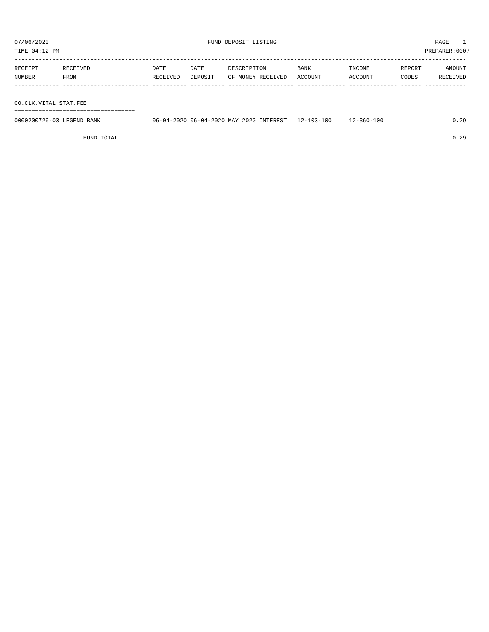TIME:04:12 PM PREPARER:0007

| REPORT | AMOUNT   |
|--------|----------|
| CODES  | RECEIVED |
|        |          |
|        |          |

CO.CLK.VITAL STAT.FEE

===================================

| 0000200726-03<br>LEGEND BANK | INTEREST<br>, 06-04-2020 MAY 2020<br>06-04-2020 | $-103 - 100$<br>$12 - 1.$ | ⊥2-360-100 | ററ |
|------------------------------|-------------------------------------------------|---------------------------|------------|----|
|                              |                                                 |                           |            |    |

FUND TOTAL 0.29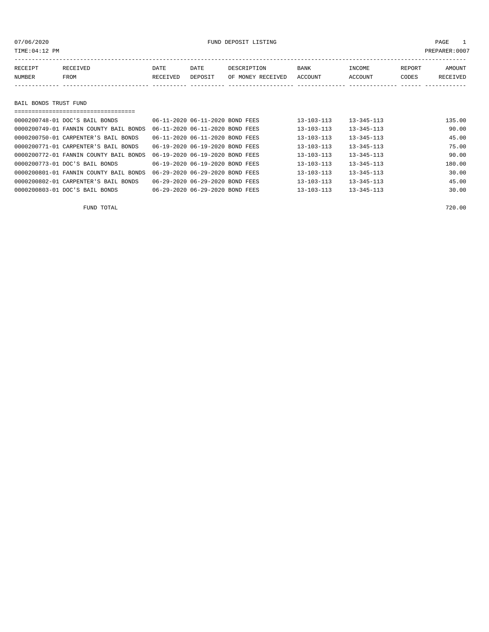| TIME:04:12 PM         |                                        |          |                                     |                   |                  |                  |        | PREPARER:0007   |
|-----------------------|----------------------------------------|----------|-------------------------------------|-------------------|------------------|------------------|--------|-----------------|
| RECEIPT               | RECEIVED                               | DATE     | DATE                                | DESCRIPTION       | BANK             | INCOME           | REPORT | AMOUNT          |
| <b>NUMBER</b>         | FROM                                   | RECEIVED | DEPOSIT                             | OF MONEY RECEIVED | <b>ACCOUNT</b>   | ACCOUNT          | CODES  | <b>RECEIVED</b> |
|                       |                                        |          |                                     |                   |                  |                  |        |                 |
|                       |                                        |          |                                     |                   |                  |                  |        |                 |
| BAIL BONDS TRUST FUND |                                        |          |                                     |                   |                  |                  |        |                 |
|                       |                                        |          |                                     |                   |                  |                  |        |                 |
|                       | 0000200748-01 DOC'S BAIL BONDS         |          | 06-11-2020 06-11-2020 BOND FEES     |                   | $13 - 103 - 113$ | $13 - 345 - 113$ |        | 135.00          |
|                       | 0000200749-01 FANNIN COUNTY BAIL BONDS |          | 06-11-2020 06-11-2020 BOND FEES     |                   | $13 - 103 - 113$ | $13 - 345 - 113$ |        | 90.00           |
|                       | 0000200750-01 CARPENTER'S BAIL BONDS   |          | $06 - 11 - 202000 - 11 - 2020$ BOND | FEES              | $13 - 103 - 113$ | $13 - 345 - 113$ |        | 45.00           |
|                       | 0000200771-01 CARPENTER'S BAIL BONDS   |          | 06-19-2020 06-19-2020 BOND FEES     |                   | $13 - 103 - 113$ | $13 - 345 - 113$ |        | 75.00           |
|                       | 0000200772-01 FANNIN COUNTY BAIL BONDS |          | 06-19-2020 06-19-2020 BOND FEES     |                   | $13 - 103 - 113$ | $13 - 345 - 113$ |        | 90.00           |

| 0000200773-01 DOC'S BAIL BONDS                                         | 06-19-2020 06-19-2020 BOND FEES | 13-103-113       | $13 - 345 - 113$ | 180.00 |
|------------------------------------------------------------------------|---------------------------------|------------------|------------------|--------|
| 0000200801-01 FANNIN COUNTY BAIL BONDS 06-29-2020 06-29-2020 BOND FEES |                                 | 13-103-113       | $13 - 345 - 113$ | 30.00  |
| 0000200802-01 CARPENTER'S BAIL BONDS                                   | 06-29-2020 06-29-2020 BOND FEES | $13 - 103 - 113$ | $13 - 345 - 113$ | 45.00  |
| 0000200803-01 DOC'S BAIL BONDS                                         | 06-29-2020 06-29-2020 BOND FEES | $13 - 103 - 113$ | $13 - 345 - 113$ | 30.00  |
|                                                                        |                                 |                  |                  |        |

FUND TOTAL 720.00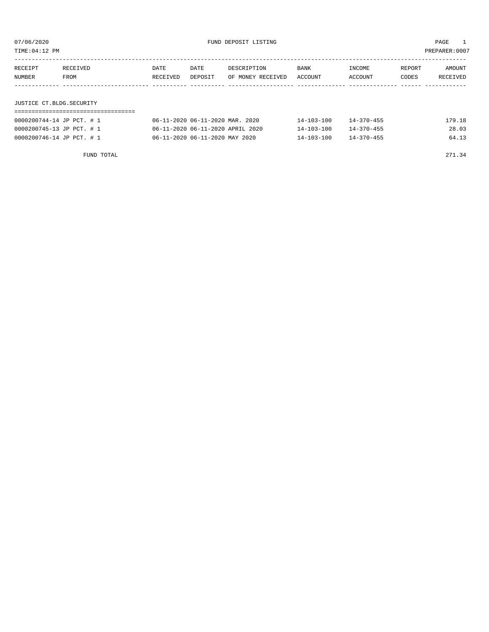TIME:04:12 PM PREPARER:0007

| RECEIPT                  | RECEIVED | DATE     | DATE    | DESCRIPTION       | <b>BANK</b> | INCOME  | REPORT | AMOUNT   |
|--------------------------|----------|----------|---------|-------------------|-------------|---------|--------|----------|
| NUMBER                   | FROM     | RECEIVED | DEPOSIT | OF MONEY RECEIVED | ACCOUNT     | ACCOUNT | CODES  | RECEIVED |
|                          |          |          |         |                   |             |         |        |          |
|                          |          |          |         |                   |             |         |        |          |
| JUSTICE CT.BLDG.SECURITY |          |          |         |                   |             |         |        |          |

| 0000200744-14 JP PCT. # 1 | 06-11-2020 06-11-2020 MAR. 2020  | 14-103-100       | $14 - 370 - 455$ | 179.18 |
|---------------------------|----------------------------------|------------------|------------------|--------|
| 0000200745-13 JP PCT. # 1 | 06-11-2020 06-11-2020 APRIL 2020 | $14 - 103 - 100$ | $14 - 370 - 455$ | 28.03  |
| 0000200746-14 JP PCT. # 1 | 06-11-2020 06-11-2020 MAY 2020   | $14 - 103 - 100$ | $14 - 370 - 455$ | 64.13  |

FUND TOTAL 271.34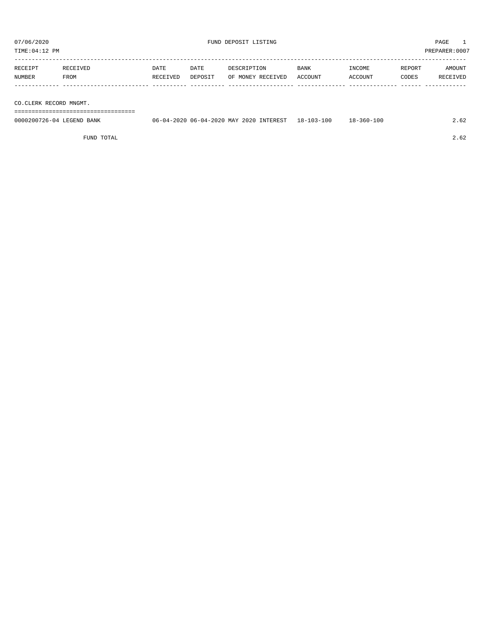TIME:04:12 PM PREPARER:0007

| RECEIPT | RECEIVED    | DATE     | DATE    | DESCRIPTION       | BANK    | INCOME  | REPORT | AMOUNT   |
|---------|-------------|----------|---------|-------------------|---------|---------|--------|----------|
| NUMBER  | <b>FROM</b> | RECEIVED | DEPOSIT | OF MONEY RECEIVED | ACCOUNT | ACCOUNT | CODES  | RECEIVED |
|         |             |          |         |                   |         |         |        |          |

CO.CLERK RECORD MNGMT.

===================================

| 0000200726-04 LEGEND BANK | 06-04-2020 06-04-2020 MAY 2020 INTEREST 18-103-100 | $18 - 360 - 100$ | 2.62 |
|---------------------------|----------------------------------------------------|------------------|------|
|                           |                                                    |                  |      |

FUND TOTAL 2.62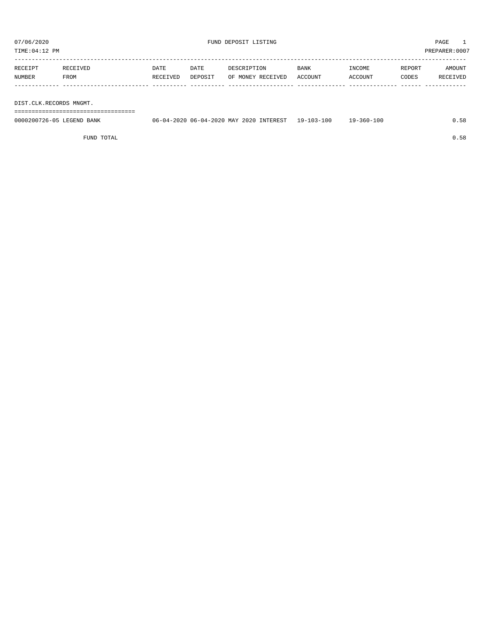TIME:04:12 PM PREPARER:0007

| RECEIPT | RECEIVED    | <b>DATE</b> | DATE    | DESCRIPTION       | <b>BANK</b> | INCOME  | REPORT | AMOUNT   |
|---------|-------------|-------------|---------|-------------------|-------------|---------|--------|----------|
| NUMBER  | <b>FROM</b> | RECEIVED    | DEPOSIT | OF MONEY RECEIVED | ACCOUNT     | ACCOUNT | CODES  | RECEIVED |
|         |             |             |         |                   |             |         |        |          |
|         |             |             |         |                   |             |         |        |          |

DIST.CLK.RECORDS MNGMT.

===================================

| 0000200726-05 LEGEND BANK | 06-04-2020 06-04-2020 MAY 2020 INTEREST 19-103-100 | $19 - 360 - 100$ | 0.58 |
|---------------------------|----------------------------------------------------|------------------|------|
|                           |                                                    |                  |      |

FUND TOTAL  $0.58$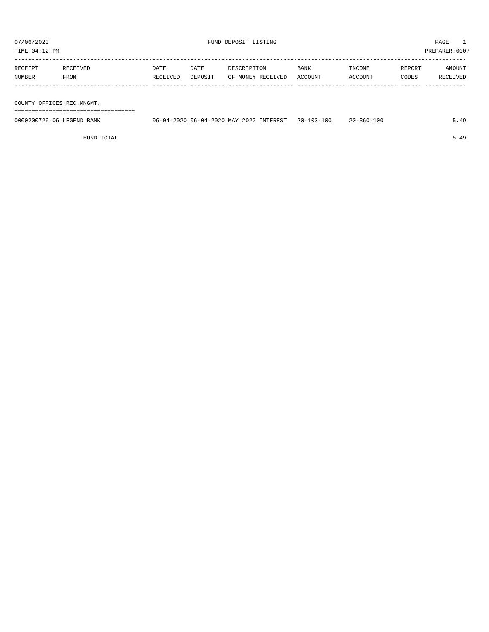TIME:04:12 PM PREPARER:0007

| RECEIPT | RECEIVED | DATE     | DATE    | DESCRIPTION       | <b>BANK</b> | INCOME  | REPORT | AMOUNT   |
|---------|----------|----------|---------|-------------------|-------------|---------|--------|----------|
| NUMBER  | FROM     | RECEIVED | DEPOSIT | OF MONEY RECEIVED | ACCOUNT     | ACCOUNT | CODES  | RECEIVED |
|         |          |          |         |                   |             |         |        |          |
|         |          |          |         |                   |             |         |        |          |

COUNTY OFFICES REC.MNGMT.

===================================

| 0000200726-06 LEGEND BANK | 06-04-2020 06-04-2020 MAY 2020 INTEREST | $20 - 103 - 100$ | -360-100<br>$2.0 -$ |  |
|---------------------------|-----------------------------------------|------------------|---------------------|--|
|                           |                                         |                  |                     |  |

FUND TOTAL 5.49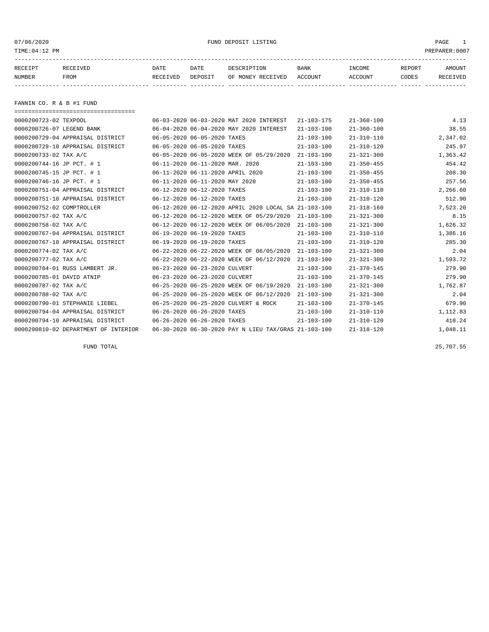07/06/2020 PMD DEPOSIT LISTING PAGE 1

| RECEIPT | <b>RECEIVED</b> | DATE     | DATE    | DESCRIPTION          | <b>BANK</b>    | INCOME  | <b>REPORT</b> | AMOUNT          |
|---------|-----------------|----------|---------|----------------------|----------------|---------|---------------|-----------------|
| NUMBER  | FROM            | RECEIVED | DEPOSIT | RECEIVED<br>OF MONEY | <b>ACCOUNT</b> | ACCOUNT | CODES         | <b>RECEIVED</b> |
|         |                 |          |         |                      |                |         |               |                 |

FANNIN CO. R & B #1 FUND

| ==================================== |                                  |                                                      |                  |                  |          |
|--------------------------------------|----------------------------------|------------------------------------------------------|------------------|------------------|----------|
| 0000200723-02 TEXPOOL                |                                  | 06-03-2020 06-03-2020 MAT 2020 INTEREST              | $21 - 103 - 175$ | $21 - 360 - 100$ | 4.13     |
| 0000200726-07 LEGEND BANK            |                                  | 06-04-2020 06-04-2020 MAY 2020 INTEREST              | $21 - 103 - 100$ | $21 - 360 - 100$ | 38.55    |
| 0000200729-04 APPRAISAL DISTRICT     | 06-05-2020 06-05-2020 TAXES      |                                                      | $21 - 103 - 100$ | $21 - 310 - 110$ | 2,347.02 |
| 0000200729-10 APPRAISAL DISTRICT     | 06-05-2020 06-05-2020 TAXES      |                                                      | $21 - 103 - 100$ | $21 - 310 - 120$ | 245.97   |
| 0000200733-02 TAX A/C                |                                  | 06-05-2020 06-05-2020 WEEK OF 05/29/2020             | $21 - 103 - 100$ | $21 - 321 - 300$ | 1,363.42 |
| 0000200744-16 JP PCT. # 1            | 06-11-2020 06-11-2020 MAR. 2020  |                                                      | $21 - 103 - 100$ | $21 - 350 - 455$ | 454.42   |
| 0000200745-15 JP PCT. # 1            | 06-11-2020 06-11-2020 APRIL 2020 |                                                      | $21 - 103 - 100$ | $21 - 350 - 455$ | 208.30   |
| 0000200746-16 JP PCT. # 1            | 06-11-2020 06-11-2020 MAY 2020   |                                                      | $21 - 103 - 100$ | $21 - 350 - 455$ | 257.56   |
| 0000200751-04 APPRAISAL DISTRICT     | 06-12-2020 06-12-2020 TAXES      |                                                      | $21 - 103 - 100$ | $21 - 310 - 110$ | 2,266.60 |
| 0000200751-10 APPRAISAL DISTRICT     | 06-12-2020 06-12-2020 TAXES      |                                                      | $21 - 103 - 100$ | $21 - 310 - 120$ | 512.90   |
| 0000200752-02 COMPTROLLER            |                                  | 06-12-2020 06-12-2020 APRIL 2020 LOCAL SA 21-103-100 |                  | $21 - 318 - 160$ | 7,523.20 |
| 0000200757-02 TAX A/C                |                                  | 06-12-2020 06-12-2020 WEEK OF 05/29/2020             | $21 - 103 - 100$ | $21 - 321 - 300$ | 8.15     |
| 0000200758-02 TAX A/C                |                                  | 06-12-2020 06-12-2020 WEEK OF 06/05/2020             | $21 - 103 - 100$ | $21 - 321 - 300$ | 1,626.32 |
| 0000200767-04 APPRAISAL DISTRICT     | 06-19-2020 06-19-2020 TAXES      |                                                      | $21 - 103 - 100$ | $21 - 310 - 110$ | 1,386.16 |
| 0000200767-10 APPRAISAL DISTRICT     | 06-19-2020 06-19-2020 TAXES      |                                                      | $21 - 103 - 100$ | $21 - 310 - 120$ | 285.30   |
| 0000200774-02 TAX A/C                |                                  | 06-22-2020 06-22-2020 WEEK OF 06/05/2020             | $21 - 103 - 100$ | $21 - 321 - 300$ | 2.04     |
| 0000200777-02 TAX A/C                |                                  | 06-22-2020 06-22-2020 WEEK OF 06/12/2020             | $21 - 103 - 100$ | $21 - 321 - 300$ | 1,593.72 |
| 0000200784-01 RUSS LAMBERT JR.       | 06-23-2020 06-23-2020 CULVERT    |                                                      | $21 - 103 - 100$ | $21 - 370 - 145$ | 279.90   |
| 0000200785-01 DAVID ATNIP            | 06-23-2020 06-23-2020 CULVERT    |                                                      | $21 - 103 - 100$ | $21 - 370 - 145$ | 279.90   |
| 0000200787-02 TAX A/C                |                                  | 06-25-2020 06-25-2020 WEEK OF 06/19/2020             | $21 - 103 - 100$ | $21 - 321 - 300$ | 1,762.87 |
| 0000200788-02 TAX A/C                |                                  | 06-25-2020 06-25-2020 WEEK OF 06/12/2020             | $21 - 103 - 100$ | $21 - 321 - 300$ | 2.04     |
| 0000200790-01 STEPHANIE LIEBEL       |                                  | 06-25-2020 06-25-2020 CULVERT & ROCK                 | $21 - 103 - 100$ | $21 - 370 - 145$ | 679.90   |
| 0000200794-04 APPRAISAL DISTRICT     | 06-26-2020 06-26-2020 TAXES      |                                                      | $21 - 103 - 100$ | $21 - 310 - 110$ | 1,112.83 |
| 0000200794-10 APPRAISAL DISTRICT     | 06-26-2020 06-26-2020 TAXES      |                                                      | $21 - 103 - 100$ | $21 - 310 - 120$ | 418.24   |
| 0000200810-02 DEPARTMENT OF INTERIOR |                                  | 06-30-2020 06-30-2020 PAY N LIEU TAX/GRAS 21-103-100 |                  | $21 - 318 - 120$ | 1,048.11 |

FUND TOTAL 25,707.55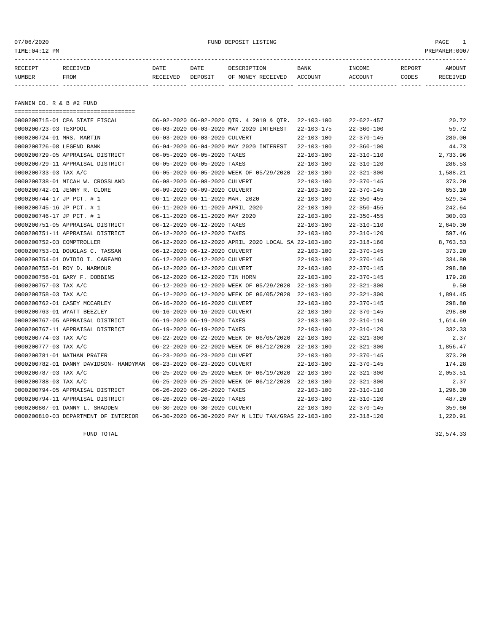or of the control of the control of the control of the control of the control of the control of the control of the control of the control of the control of the control of the control of the control of the control of the co

| RECEIPT | <b>RECEIVED</b> | DATE            | DATE    | DESCRIPTION       | <b>BANK</b> | INCOME  | <b>REPORT</b> | AMOUNT          |
|---------|-----------------|-----------------|---------|-------------------|-------------|---------|---------------|-----------------|
| NUMBER  | FROM            | <b>RECEIVED</b> | DEPOSIT | OF MONEY RECEIVED | ACCOUNT     | ACCOUNT | CODES         | <b>RECEIVED</b> |
|         |                 |                 |         |                   |             |         |               |                 |

FANNIN CO. R & B #2 FUND

| ======================================                               |                                 |                                                         |                  |                  |          |
|----------------------------------------------------------------------|---------------------------------|---------------------------------------------------------|------------------|------------------|----------|
| 0000200715-01 CPA STATE FISCAL                                       |                                 | $06-02-2020$ $06-02-2020$ OTR. 4 2019 & OTR. 22-103-100 |                  | $22 - 622 - 457$ | 20.72    |
| 0000200723-03 TEXPOOL                                                |                                 | 06-03-2020 06-03-2020 MAY 2020 INTEREST                 | $22 - 103 - 175$ | $22 - 360 - 100$ | 59.72    |
| 0000200724-01 MRS. MARTIN                                            | 06-03-2020 06-03-2020 CULVERT   |                                                         | $22 - 103 - 100$ | $22 - 370 - 145$ | 280.00   |
| 0000200726-08 LEGEND BANK                                            |                                 | 06-04-2020 06-04-2020 MAY 2020 INTEREST                 | $22 - 103 - 100$ | $22 - 360 - 100$ | 44.73    |
| 0000200729-05 APPRAISAL DISTRICT                                     | 06-05-2020 06-05-2020 TAXES     |                                                         | $22 - 103 - 100$ | $22 - 310 - 110$ | 2,733.96 |
| 0000200729-11 APPRAISAL DISTRICT                                     | 06-05-2020 06-05-2020 TAXES     |                                                         | $22 - 103 - 100$ | $22 - 310 - 120$ | 286.53   |
| 0000200733-03 TAX A/C                                                |                                 | 06-05-2020 06-05-2020 WEEK OF 05/29/2020 22-103-100     |                  | $22 - 321 - 300$ | 1,588.21 |
| 0000200738-01 MICAH W. CROSSLAND                                     | 06-08-2020 06-08-2020 CULVERT   |                                                         | $22 - 103 - 100$ | $22 - 370 - 145$ | 373.20   |
| 0000200742-01 JENNY R. CLORE                                         | 06-09-2020 06-09-2020 CULVERT   |                                                         | $22 - 103 - 100$ | $22 - 370 - 145$ | 653.10   |
| 0000200744-17 JP PCT. # 1                                            | 06-11-2020 06-11-2020 MAR. 2020 |                                                         | $22 - 103 - 100$ | $22 - 350 - 455$ | 529.34   |
| 0000200745-16 JP PCT. # 1                                            |                                 | 06-11-2020 06-11-2020 APRIL 2020                        | $22 - 103 - 100$ | $22 - 350 - 455$ | 242.64   |
| 0000200746-17 JP PCT. # 1                                            | 06-11-2020 06-11-2020 MAY 2020  |                                                         | $22 - 103 - 100$ | $22 - 350 - 455$ | 300.03   |
| 0000200751-05 APPRAISAL DISTRICT                                     | 06-12-2020 06-12-2020 TAXES     |                                                         | $22 - 103 - 100$ | $22 - 310 - 110$ | 2,640.30 |
| 0000200751-11 APPRAISAL DISTRICT                                     | 06-12-2020 06-12-2020 TAXES     |                                                         | $22 - 103 - 100$ | $22 - 310 - 120$ | 597.46   |
| 0000200752-03 COMPTROLLER                                            |                                 | 06-12-2020 06-12-2020 APRIL 2020 LOCAL SA 22-103-100    |                  | $22 - 318 - 160$ | 8,763.53 |
| 0000200753-01 DOUGLAS C. TASSAN                                      | 06-12-2020 06-12-2020 CULVERT   |                                                         | $22 - 103 - 100$ | $22 - 370 - 145$ | 373.20   |
| 0000200754-01 OVIDIO I. CAREAMO                                      | 06-12-2020 06-12-2020 CULVERT   |                                                         | $22 - 103 - 100$ | $22 - 370 - 145$ | 334.80   |
| 0000200755-01 ROY D. NARMOUR                                         | 06-12-2020 06-12-2020 CULVERT   |                                                         | $22 - 103 - 100$ | $22 - 370 - 145$ | 298.80   |
| 0000200756-01 GARY F. DOBBINS                                        | 06-12-2020 06-12-2020 TIN HORN  |                                                         | $22 - 103 - 100$ | $22 - 370 - 145$ | 179.28   |
| 0000200757-03 TAX A/C                                                |                                 | 06-12-2020 06-12-2020 WEEK OF 05/29/2020                | 22-103-100       | $22 - 321 - 300$ | 9.50     |
| 0000200758-03 TAX A/C                                                |                                 | 06-12-2020 06-12-2020 WEEK OF 06/05/2020                | $22 - 103 - 100$ | $22 - 321 - 300$ | 1,894.45 |
| 0000200762-01 CASEY MCCARLEY                                         | 06-16-2020 06-16-2020 CULVERT   |                                                         | $22 - 103 - 100$ | $22 - 370 - 145$ | 298.80   |
| 0000200763-01 WYATT BEEZLEY                                          | 06-16-2020 06-16-2020 CULVERT   |                                                         | $22 - 103 - 100$ | $22 - 370 - 145$ | 298.80   |
| 0000200767-05 APPRAISAL DISTRICT                                     | 06-19-2020 06-19-2020 TAXES     |                                                         | $22 - 103 - 100$ | $22 - 310 - 110$ | 1,614.69 |
| 0000200767-11 APPRAISAL DISTRICT                                     | 06-19-2020 06-19-2020 TAXES     |                                                         | $22 - 103 - 100$ | $22 - 310 - 120$ | 332.33   |
| 0000200774-03 TAX A/C                                                |                                 | 06-22-2020 06-22-2020 WEEK OF 06/05/2020                | 22-103-100       | $22 - 321 - 300$ | 2.37     |
| 0000200777-03 TAX A/C                                                |                                 | 06-22-2020 06-22-2020 WEEK OF 06/12/2020                | 22-103-100       | $22 - 321 - 300$ | 1,856.47 |
| 0000200781-01 NATHAN PRATER                                          | 06-23-2020 06-23-2020 CULVERT   |                                                         | $22 - 103 - 100$ | $22 - 370 - 145$ | 373.20   |
| 0000200782-01 DANNY DAVIDSON- HANDYMAN 06-23-2020 06-23-2020 CULVERT |                                 |                                                         | $22 - 103 - 100$ | $22 - 370 - 145$ | 174.28   |
| 0000200787-03 TAX A/C                                                |                                 | 06-25-2020 06-25-2020 WEEK OF 06/19/2020 22-103-100     |                  | $22 - 321 - 300$ | 2,053.51 |
| 0000200788-03 TAX A/C                                                |                                 | 06-25-2020 06-25-2020 WEEK OF 06/12/2020 22-103-100     |                  | $22 - 321 - 300$ | 2.37     |
| 0000200794-05 APPRAISAL DISTRICT                                     | 06-26-2020 06-26-2020 TAXES     |                                                         | $22 - 103 - 100$ | $22 - 310 - 110$ | 1,296.30 |
| 0000200794-11 APPRAISAL DISTRICT                                     | 06-26-2020 06-26-2020 TAXES     |                                                         | $22 - 103 - 100$ | $22 - 310 - 120$ | 487.20   |
| 0000200807-01 DANNY L. SHADDEN                                       | 06-30-2020 06-30-2020 CULVERT   |                                                         | $22 - 103 - 100$ | $22 - 370 - 145$ | 359.60   |
| 0000200810-03 DEPARTMENT OF INTERIOR                                 |                                 | 06-30-2020 06-30-2020 PAY N LIEU TAX/GRAS 22-103-100    |                  | $22 - 318 - 120$ | 1,220.91 |

FUND TOTAL 32,574.33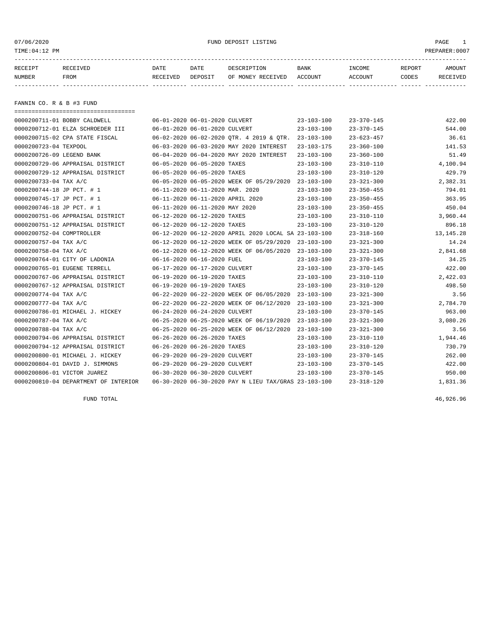or of the control of the control of the control of the control of the control of the control of the control of the control of the control of the control of the control of the control of the control of the control of the co

| RECEIPT | RECEIVED | DATE     | DATE    | DESCRIPTION       | <b>BANK</b> | INCOME  | <b>REPORT</b> | AMOUNT          |
|---------|----------|----------|---------|-------------------|-------------|---------|---------------|-----------------|
| NUMBER  | FROM     | RECEIVED | DEPOSIT | OF MONEY RECEIVED | ACCOUNT     | ACCOUNT | <b>CODES</b>  | <b>RECEIVED</b> |
|         |          |          |         |                   |             |         |               |                 |

FANNIN CO. R & B #3 FUND

| ===================================== |                                  |                                                      |                  |                  |             |
|---------------------------------------|----------------------------------|------------------------------------------------------|------------------|------------------|-------------|
| 0000200711-01 BOBBY CALDWELL          | 06-01-2020 06-01-2020 CULVERT    |                                                      | $23 - 103 - 100$ | $23 - 370 - 145$ | 422.00      |
| 0000200712-01 ELZA SCHROEDER III      | 06-01-2020 06-01-2020 CULVERT    |                                                      | $23 - 103 - 100$ | $23 - 370 - 145$ | 544.00      |
| 0000200715-02 CPA STATE FISCAL        |                                  | 06-02-2020 06-02-2020 OTR. 4 2019 & OTR.             | 23-103-100       | $23 - 623 - 457$ | 36.61       |
| 0000200723-04 TEXPOOL                 |                                  | 06-03-2020 06-03-2020 MAY 2020 INTEREST              | $23 - 103 - 175$ | $23 - 360 - 100$ | 141.53      |
| 0000200726-09 LEGEND BANK             |                                  | 06-04-2020 06-04-2020 MAY 2020 INTEREST              | $23 - 103 - 100$ | $23 - 360 - 100$ | 51.49       |
| 0000200729-06 APPRAISAL DISTRICT      | 06-05-2020 06-05-2020 TAXES      |                                                      | $23 - 103 - 100$ | $23 - 310 - 110$ | 4,100.94    |
| 0000200729-12 APPRAISAL DISTRICT      | 06-05-2020 06-05-2020 TAXES      |                                                      | $23 - 103 - 100$ | $23 - 310 - 120$ | 429.79      |
| 0000200733-04 TAX A/C                 |                                  | 06-05-2020 06-05-2020 WEEK OF 05/29/2020 23-103-100  |                  | $23 - 321 - 300$ | 2,382.31    |
| 0000200744-18 JP PCT. # 1             | 06-11-2020 06-11-2020 MAR. 2020  |                                                      | $23 - 103 - 100$ | $23 - 350 - 455$ | 794.01      |
| 0000200745-17 JP PCT. # 1             | 06-11-2020 06-11-2020 APRIL 2020 |                                                      | $23 - 103 - 100$ | $23 - 350 - 455$ | 363.95      |
| 0000200746-18 JP PCT. # 1             | 06-11-2020 06-11-2020 MAY 2020   |                                                      | $23 - 103 - 100$ | $23 - 350 - 455$ | 450.04      |
| 0000200751-06 APPRAISAL DISTRICT      | 06-12-2020 06-12-2020 TAXES      |                                                      | $23 - 103 - 100$ | $23 - 310 - 110$ | 3,960.44    |
| 0000200751-12 APPRAISAL DISTRICT      | 06-12-2020 06-12-2020 TAXES      |                                                      | $23 - 103 - 100$ | $23 - 310 - 120$ | 896.18      |
| 0000200752-04 COMPTROLLER             |                                  | 06-12-2020 06-12-2020 APRIL 2020 LOCAL SA 23-103-100 |                  | $23 - 318 - 160$ | 13, 145. 28 |
| 0000200757-04 TAX A/C                 |                                  | 06-12-2020 06-12-2020 WEEK OF 05/29/2020             | $23 - 103 - 100$ | $23 - 321 - 300$ | 14.24       |
| 0000200758-04 TAX A/C                 |                                  | 06-12-2020 06-12-2020 WEEK OF 06/05/2020             | $23 - 103 - 100$ | $23 - 321 - 300$ | 2,841.68    |
| 0000200764-01 CITY OF LADONIA         | 06-16-2020 06-16-2020 FUEL       |                                                      | $23 - 103 - 100$ | $23 - 370 - 145$ | 34.25       |
| 0000200765-01 EUGENE TERRELL          | 06-17-2020 06-17-2020 CULVERT    |                                                      | 23-103-100       | $23 - 370 - 145$ | 422.00      |
| 0000200767-06 APPRAISAL DISTRICT      | 06-19-2020 06-19-2020 TAXES      |                                                      | 23-103-100       | 23-310-110       | 2,422.03    |
| 0000200767-12 APPRAISAL DISTRICT      | 06-19-2020 06-19-2020 TAXES      |                                                      | $23 - 103 - 100$ | $23 - 310 - 120$ | 498.50      |
| 0000200774-04 TAX A/C                 |                                  | 06-22-2020 06-22-2020 WEEK OF 06/05/2020             | $23 - 103 - 100$ | $23 - 321 - 300$ | 3.56        |
| 0000200777-04 TAX A/C                 |                                  | 06-22-2020 06-22-2020 WEEK OF 06/12/2020             | $23 - 103 - 100$ | $23 - 321 - 300$ | 2,784.70    |
| 0000200786-01 MICHAEL J. HICKEY       | 06-24-2020 06-24-2020 CULVERT    |                                                      | $23 - 103 - 100$ | $23 - 370 - 145$ | 963.00      |
| 0000200787-04 TAX A/C                 |                                  | 06-25-2020 06-25-2020 WEEK OF 06/19/2020             | 23-103-100       | $23 - 321 - 300$ | 3,080.26    |
| 0000200788-04 TAX A/C                 |                                  | 06-25-2020 06-25-2020 WEEK OF 06/12/2020             | $23 - 103 - 100$ | $23 - 321 - 300$ | 3.56        |
| 0000200794-06 APPRAISAL DISTRICT      | 06-26-2020 06-26-2020 TAXES      |                                                      | $23 - 103 - 100$ | $23 - 310 - 110$ | 1,944.46    |
| 0000200794-12 APPRAISAL DISTRICT      | 06-26-2020 06-26-2020 TAXES      |                                                      | $23 - 103 - 100$ | $23 - 310 - 120$ | 730.79      |
| 0000200800-01 MICHAEL J. HICKEY       | 06-29-2020 06-29-2020 CULVERT    |                                                      | $23 - 103 - 100$ | $23 - 370 - 145$ | 262.00      |
| 0000200804-01 DAVID J. SIMMONS        | 06-29-2020 06-29-2020 CULVERT    |                                                      | 23-103-100       | $23 - 370 - 145$ | 422.00      |
| 0000200806-01 VICTOR JUAREZ           | 06-30-2020 06-30-2020 CULVERT    |                                                      | $23 - 103 - 100$ | $23 - 370 - 145$ | 950.00      |
| 0000200810-04 DEPARTMENT OF INTERIOR  |                                  | 06-30-2020 06-30-2020 PAY N LIEU TAX/GRAS 23-103-100 |                  | $23 - 318 - 120$ | 1,831.36    |

FUND TOTAL 46,926.96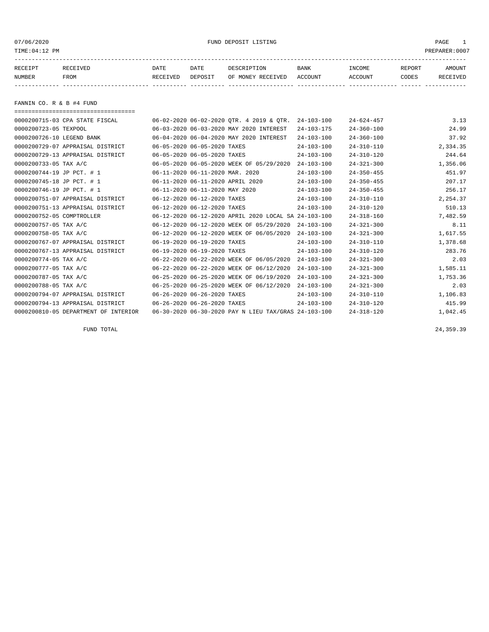07/06/2020 PMD DEPOSIT LISTING PAGE 1

| RECEIPT | <b>RECEIVED</b> | DATE     | DATE    | DESCRIPTION       | <b>BANK</b> | INCOME  | REPORT | AMOUNT          |
|---------|-----------------|----------|---------|-------------------|-------------|---------|--------|-----------------|
| NUMBER  | FROM            | RECEIVED | DEPOSIT | OF MONEY RECEIVED | ACCOUNT     | ACCOUNT | CODES  | <b>RECEIVED</b> |
|         |                 |          |         |                   |             |         |        |                 |

FANNIN CO. R & B #4 FUND

| ===================================== |                                  |                                                      |                  |                  |          |
|---------------------------------------|----------------------------------|------------------------------------------------------|------------------|------------------|----------|
| 0000200715-03 CPA STATE FISCAL        |                                  | 06-02-2020 06-02-2020 QTR. 4 2019 & QTR.             | $24 - 103 - 100$ | $24 - 624 - 457$ | 3.13     |
| 0000200723-05 TEXPOOL                 |                                  | 06-03-2020 06-03-2020 MAY 2020 INTEREST              | $24 - 103 - 175$ | $24 - 360 - 100$ | 24.99    |
| 0000200726-10 LEGEND BANK             |                                  | 06-04-2020 06-04-2020 MAY 2020 INTEREST              | $24 - 103 - 100$ | $24 - 360 - 100$ | 37.92    |
| 0000200729-07 APPRAISAL DISTRICT      | 06-05-2020 06-05-2020 TAXES      |                                                      | $24 - 103 - 100$ | $24 - 310 - 110$ | 2,334.35 |
| 0000200729-13 APPRAISAL DISTRICT      | 06-05-2020 06-05-2020 TAXES      |                                                      | $24 - 103 - 100$ | $24 - 310 - 120$ | 244.64   |
| 0000200733-05 TAX A/C                 |                                  | 06-05-2020 06-05-2020 WEEK OF 05/29/2020             | $24 - 103 - 100$ | $24 - 321 - 300$ | 1,356.06 |
| 0000200744-19 JP PCT. # 1             | 06-11-2020 06-11-2020 MAR. 2020  |                                                      | $24 - 103 - 100$ | $24 - 350 - 455$ | 451.97   |
| 0000200745-18 JP PCT. # 1             | 06-11-2020 06-11-2020 APRIL 2020 |                                                      | $24 - 103 - 100$ | $24 - 350 - 455$ | 207.17   |
| 0000200746-19 JP PCT. # 1             | 06-11-2020 06-11-2020 MAY 2020   |                                                      | $24 - 103 - 100$ | $24 - 350 - 455$ | 256.17   |
| 0000200751-07 APPRAISAL DISTRICT      | 06-12-2020 06-12-2020 TAXES      |                                                      | $24 - 103 - 100$ | $24 - 310 - 110$ | 2,254.37 |
| 0000200751-13 APPRAISAL DISTRICT      | 06-12-2020 06-12-2020 TAXES      |                                                      | $24 - 103 - 100$ | $24 - 310 - 120$ | 510.13   |
| 0000200752-05 COMPTROLLER             |                                  | 06-12-2020 06-12-2020 APRIL 2020 LOCAL SA 24-103-100 |                  | $24 - 318 - 160$ | 7,482.59 |
| 0000200757-05 TAX A/C                 |                                  | 06-12-2020 06-12-2020 WEEK OF 05/29/2020             | $24 - 103 - 100$ | $24 - 321 - 300$ | 8.11     |
| 0000200758-05 TAX A/C                 |                                  | 06-12-2020 06-12-2020 WEEK OF 06/05/2020             | $24 - 103 - 100$ | $24 - 321 - 300$ | 1,617.55 |
| 0000200767-07 APPRAISAL DISTRICT      | 06-19-2020 06-19-2020 TAXES      |                                                      | $24 - 103 - 100$ | $24 - 310 - 110$ | 1,378.68 |
| 0000200767-13 APPRAISAL DISTRICT      | 06-19-2020 06-19-2020 TAXES      |                                                      | $24 - 103 - 100$ | $24 - 310 - 120$ | 283.76   |
| 0000200774-05 TAX A/C                 |                                  | 06-22-2020 06-22-2020 WEEK OF 06/05/2020             | $24 - 103 - 100$ | $24 - 321 - 300$ | 2.03     |
| 0000200777-05 TAX A/C                 |                                  | 06-22-2020 06-22-2020 WEEK OF 06/12/2020             | $24 - 103 - 100$ | $24 - 321 - 300$ | 1,585.11 |
| 0000200787-05 TAX A/C                 |                                  | 06-25-2020 06-25-2020 WEEK OF 06/19/2020             | $24 - 103 - 100$ | $24 - 321 - 300$ | 1,753.36 |
| 0000200788-05 TAX A/C                 |                                  | 06-25-2020 06-25-2020 WEEK OF 06/12/2020             | $24 - 103 - 100$ | $24 - 321 - 300$ | 2.03     |
| 0000200794-07 APPRAISAL DISTRICT      | 06-26-2020 06-26-2020 TAXES      |                                                      | $24 - 103 - 100$ | $24 - 310 - 110$ | 1,106.83 |
| 0000200794-13 APPRAISAL DISTRICT      | 06-26-2020 06-26-2020 TAXES      |                                                      | $24 - 103 - 100$ | $24 - 310 - 120$ | 415.99   |
| 0000200810-05 DEPARTMENT OF INTERIOR  |                                  | 06-30-2020 06-30-2020 PAY N LIEU TAX/GRAS 24-103-100 |                  | $24 - 318 - 120$ | 1,042.45 |

FUND TOTAL 24,359.39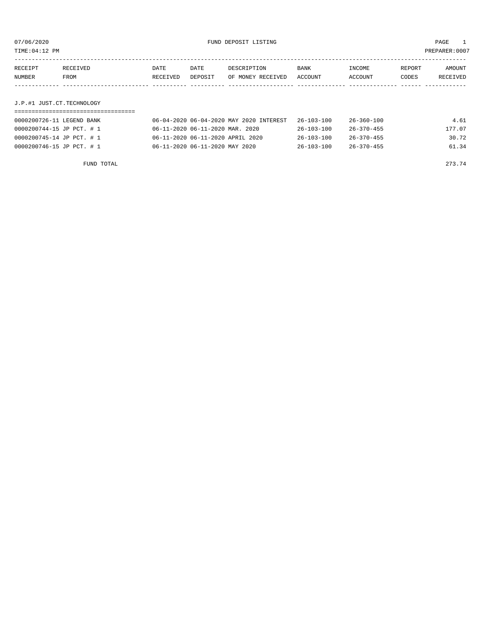TIME:04:12 PM PREPARER:0007

| RECEIPT | RECEIVED | DATE     | DATE    | DESCRIPTION       | <b>BANK</b> | INCOME         | REPORT | AMOUNT   |
|---------|----------|----------|---------|-------------------|-------------|----------------|--------|----------|
| NUMBER  | FROM     | RECEIVED | DEPOSIT | OF MONEY RECEIVED | ACCOUNT     | <b>ACCOUNT</b> | CODES  | RECEIVED |
|         |          |          |         |                   |             |                |        |          |
|         |          |          |         |                   |             |                |        |          |

### J.P.#1 JUST.CT.TECHNOLOGY

| 0000200726-11 LEGEND BANK | 06-04-2020 06-04-2020 MAY 2020 INTEREST | 26-103-100       | 26-360-100       | 4.61   |
|---------------------------|-----------------------------------------|------------------|------------------|--------|
| 0000200744-15 JP PCT. # 1 | 06-11-2020 06-11-2020 MAR. 2020         | $26 - 103 - 100$ | $26 - 370 - 455$ | 177.07 |
| 0000200745-14 JP PCT. # 1 | 06-11-2020 06-11-2020 APRIL 2020        | $26 - 103 - 100$ | $26 - 370 - 455$ | 30.72  |
| 0000200746-15 JP PCT. # 1 | 06-11-2020 06-11-2020 MAY 2020          | $26 - 103 - 100$ | $26 - 370 - 455$ | 61.34  |

FUND TOTAL 273.74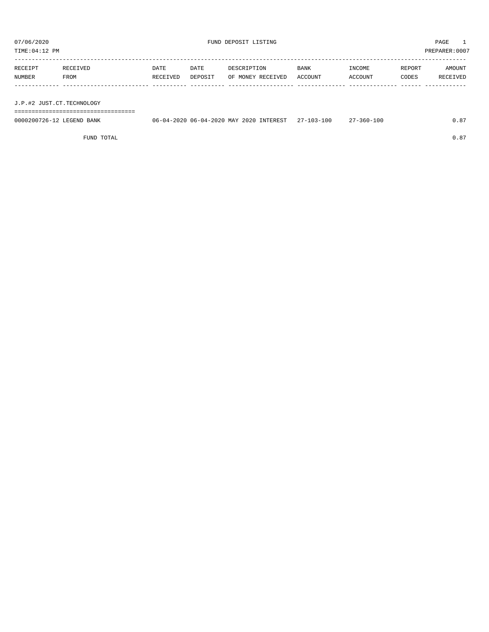TIME:04:12 PM PREPARER:0007

| RECEIPT | RECEIVED | DATE     | DATE    | DESCRIPTION       | <b>BANK</b> | INCOME  | REPORT | AMOUNT   |
|---------|----------|----------|---------|-------------------|-------------|---------|--------|----------|
| NUMBER  | FROM     | RECEIVED | DEPOSIT | OF MONEY RECEIVED | ACCOUNT     | ACCOUNT | CODES  | RECEIVED |
|         |          |          |         |                   |             |         |        |          |
|         |          |          |         |                   |             |         |        |          |

J.P.#2 JUST.CT.TECHNOLOGY

===================================

| 0000200726-12 LEGEND BANK | 06-04-2020 06-04-2020 MAY 2020 INTEREST 27-103-100 |  | $27 - 360 - 100$ | 0.87 |
|---------------------------|----------------------------------------------------|--|------------------|------|
|                           |                                                    |  |                  |      |

FUND TOTAL  $0.87$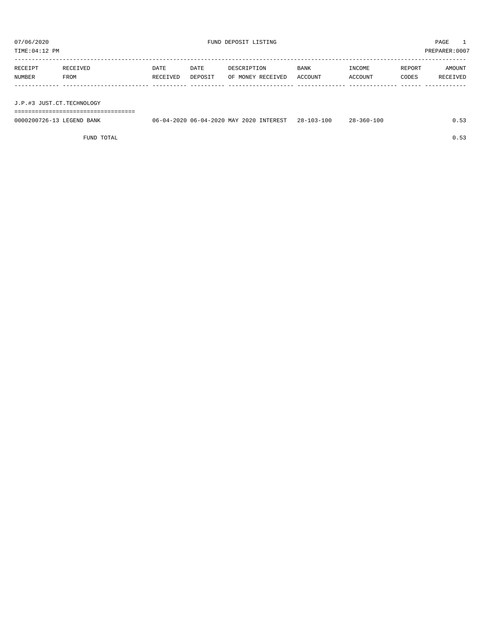TIME:04:12 PM PREPARER:0007

| RECEIPT | RECEIVED | DATE     | DATE    | DESCRIPTION       | <b>BANK</b> | INCOME  | REPORT | AMOUNT   |
|---------|----------|----------|---------|-------------------|-------------|---------|--------|----------|
| NUMBER  | FROM     | RECEIVED | DEPOSIT | OF MONEY RECEIVED | ACCOUNT     | ACCOUNT | CODES  | RECEIVED |
|         |          |          |         |                   |             |         |        |          |
|         |          |          |         |                   |             |         |        |          |

J.P.#3 JUST.CT.TECHNOLOGY

===================================

| 0000200726-13 LEGEND BANK | 06-04-2020 06-04-2020 MAY 2020 INTEREST | $28 - 103 - 100$ | $28 - 360 - 100$ |  |
|---------------------------|-----------------------------------------|------------------|------------------|--|
|                           |                                         |                  |                  |  |

FUND TOTAL  $0.53$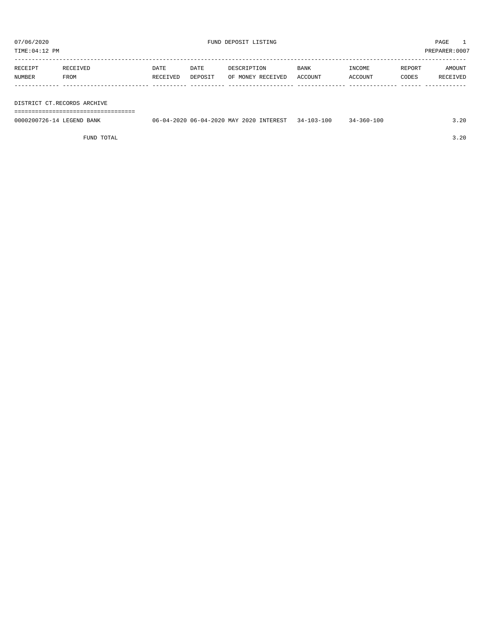TIME:04:12 PM PREPARER:0007

| RECEIPT | RECEIVED | DATE     | DATE    | DESCRIPTION       | <b>BANK</b> | INCOME  | REPORT | AMOUNT   |
|---------|----------|----------|---------|-------------------|-------------|---------|--------|----------|
| NUMBER  | FROM     | RECEIVED | DEPOSIT | OF MONEY RECEIVED | ACCOUNT     | ACCOUNT | CODES  | RECEIVED |
|         |          |          |         |                   |             |         |        |          |

#### DISTRICT CT.RECORDS ARCHIVE

===================================

| 0000200726-14 LEGEND BANK | 06-04-2020 06-04-2020 MAY 2020 INTEREST | 34-103-100 | $34 - 360 - 100$ | 20. د |
|---------------------------|-----------------------------------------|------------|------------------|-------|
|                           |                                         |            |                  |       |

FUND TOTAL 3.20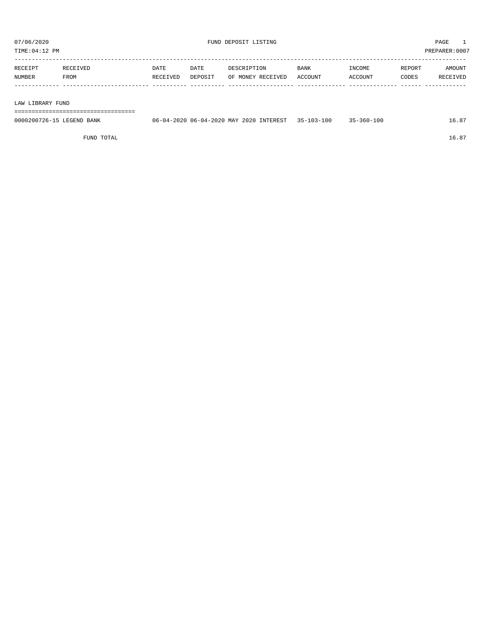TIME:04:12 PM PREPARER:0007

| RECEIPT | RECEIVED    | DATE     | DATE    | DESCRIPTION       | <b>BANK</b> | INCOME  | REPORT | AMOUNT          |
|---------|-------------|----------|---------|-------------------|-------------|---------|--------|-----------------|
| NUMBER  | <b>FROM</b> | RECEIVED | DEPOSIT | OF MONEY RECEIVED | ACCOUNT     | ACCOUNT | CODES  | <b>RECEIVED</b> |
|         |             |          |         |                   |             |         |        |                 |

#### LAW LIBRARY FUND

===================================

| 0000200726-15 LEGEND BANK | 06-04-2020 06-04-2020 MAY 2020 INTEREST | $35 - 103 - 100$ | $35 - 360 - 100$ | 16.87 |
|---------------------------|-----------------------------------------|------------------|------------------|-------|
|                           |                                         |                  |                  |       |

FUND TOTAL  $16.87$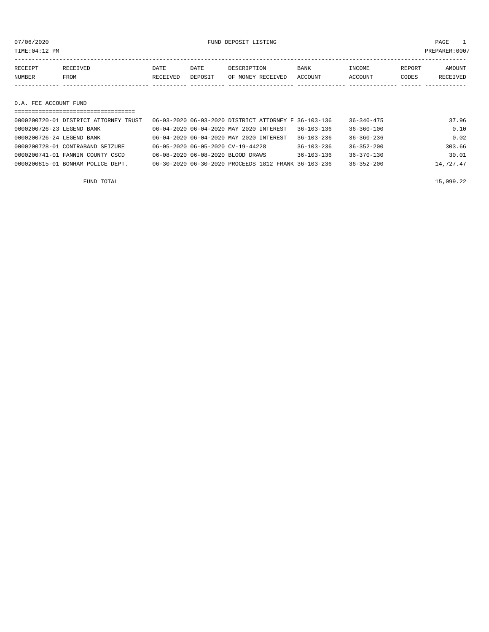07/06/2020 FUND DEPOSIT LISTING PAGE 1

| RECEIPT<br>RECEIVED | DATE     | DATE    | DESCRIPTION       | <b>BANK</b> | INCOME  | REPORT | AMOUNT          |
|---------------------|----------|---------|-------------------|-------------|---------|--------|-----------------|
| NUMBER<br>FROM      | RECEIVED | DEPOSIT | OF MONEY RECEIVED | ACCOUNT     | ACCOUNT | CODES  | <b>RECEIVED</b> |
|                     |          |         |                   |             |         |        |                 |

#### D.A. FEE ACCOUNT FUND

| ==================================    |                                                      |                  |                  |           |
|---------------------------------------|------------------------------------------------------|------------------|------------------|-----------|
| 0000200720-01 DISTRICT ATTORNEY TRUST | 06-03-2020 06-03-2020 DISTRICT ATTORNEY F 36-103-136 |                  | $36 - 340 - 475$ | 37.96     |
| 0000200726-23 LEGEND BANK             | 06-04-2020 06-04-2020 MAY 2020 INTEREST              | $36 - 103 - 136$ | $36 - 360 - 100$ | 0.10      |
| 0000200726-24 LEGEND BANK             | 06-04-2020 06-04-2020 MAY 2020 INTEREST              | $36 - 103 - 236$ | $36 - 360 - 236$ | 0.02      |
| 0000200728-01 CONTRABAND SEIZURE      | 06-05-2020 06-05-2020 CV-19-44228                    | $36 - 103 - 236$ | $36 - 352 - 200$ | 303.66    |
| 0000200741-01 FANNIN COUNTY CSCD      | 06-08-2020 06-08-2020 BLOOD DRAWS                    | $36 - 103 - 136$ | $36 - 370 - 130$ | 30.01     |
| 0000200815-01 BONHAM POLICE DEPT.     | 06-30-2020 06-30-2020 PROCEEDS 1812 FRANK 36-103-236 |                  | $36 - 352 - 200$ | 14,727.47 |
|                                       |                                                      |                  |                  |           |

FUND TOTAL  $15,099.22$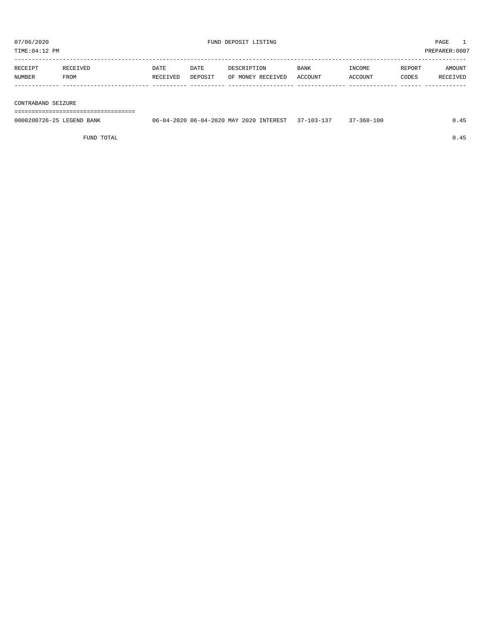TIME:04:12 PM PREPARER:0007 -----------------------------------------------------------------------------------------------------------------------------------

| <b>RECEIPT</b> |      | DATE     | DATE    | DESCRIPTION       | <b>BANK</b> | NCOME.  | <b>REPORT</b> | TNUONA          |
|----------------|------|----------|---------|-------------------|-------------|---------|---------------|-----------------|
| NUMBER         | 7ROM | RECEIVED | DEPOSIT | OF MONEY RECEIVED | ACCOUNT     | ACCOUNT | CODES         | <b>RECEIVED</b> |
|                |      |          |         |                   |             |         |               |                 |

#### CONTRABAND SEIZURE

===================================

| 0000200726-25 LEGEND BANK | 06-04-2020 06-04-2020 MAY 2020 INTEREST 37-103-137 | 37-360-100 |  |
|---------------------------|----------------------------------------------------|------------|--|
|                           |                                                    |            |  |

FUND TOTAL  $0.45$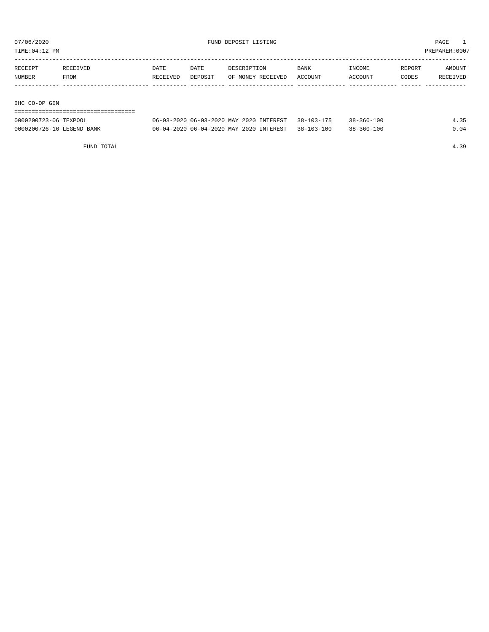TIME:04:12 PM PREPARER:0007

| RECEIPT       | RECEIVED | <b>DATE</b> | DATE    | DESCRIPTION       | <b>BANK</b> | INCOME  | REPORT | AMOUNT   |
|---------------|----------|-------------|---------|-------------------|-------------|---------|--------|----------|
| <b>NUMBER</b> | FROM     | RECEIVED    | DEPOSIT | OF MONEY RECEIVED | ACCOUNT     | ACCOUNT | CODES  | RECEIVED |
|               |          |             |         |                   |             |         |        |          |
|               |          |             |         |                   |             |         |        |          |

#### IHC CO-OP GIN

#### ===================================

| 0000200723-06 TEXPOOL     | 06-03-2020 06-03-2020 MAY 2020 INTEREST 38-103-175 |                  | $38 - 360 - 100$ | 35 |
|---------------------------|----------------------------------------------------|------------------|------------------|----|
| 0000200726-16 LEGEND BANK | 06-04-2020 06-04-2020 MAY 2020 INTEREST            | $38 - 103 - 100$ | $38 - 360 - 100$ |    |

FUND TOTAL 4.39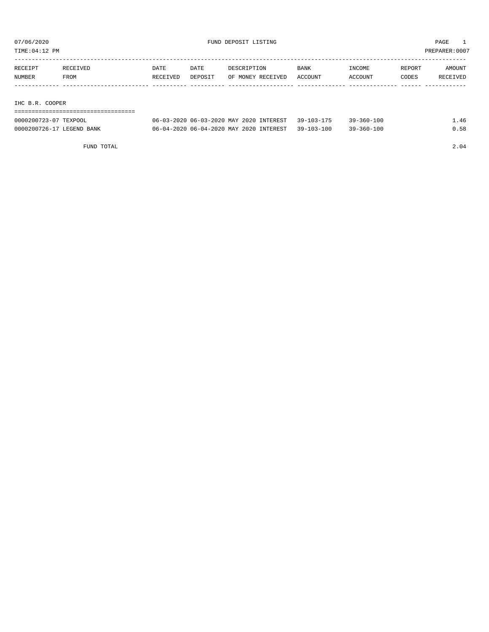TIME:04:12 PM PREPARER:0007

| RECEIPT       | RECEIVED | <b>DATE</b> | DATE    | DESCRIPTION       | <b>BANK</b> | INCOME  | REPORT | AMOUNT   |
|---------------|----------|-------------|---------|-------------------|-------------|---------|--------|----------|
| <b>NUMBER</b> | FROM     | RECEIVED    | DEPOSIT | OF MONEY RECEIVED | ACCOUNT     | ACCOUNT | CODES  | RECEIVED |
|               |          |             |         |                   |             |         |        |          |
|               |          |             |         |                   |             |         |        |          |
|               |          |             |         |                   |             |         |        |          |

#### IHC B.R. COOPER

#### ===================================

| 0000200723-07 TEXPOOL     | 06-03-2020 06-03-2020 MAY 2020 INTEREST 39-103-175 | $39 - 360 - 100$ | $\perp$ . 46 |
|---------------------------|----------------------------------------------------|------------------|--------------|
| 0000200726-17 LEGEND BANK | 06-04-2020 06-04-2020 MAY 2020 INTEREST 39-103-100 | $39 - 360 - 100$ | 0.58         |

FUND TOTAL 2.04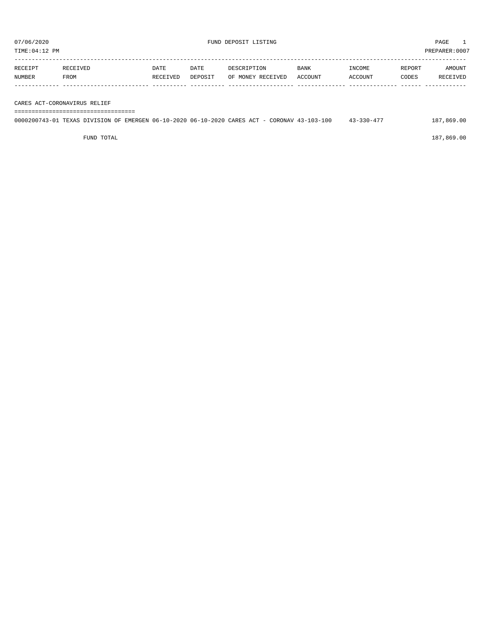| RECEIPT       | <b>RECEIVED</b> | DATE     | DATE    | DESCRIPTION       | <b>BANK</b> | INCOME  | REPORT | AMOUNT   |
|---------------|-----------------|----------|---------|-------------------|-------------|---------|--------|----------|
| <b>NUMBER</b> | FROM            | RECEIVED | DEPOSIT | OF MONEY RECEIVED | ACCOUNT     | ACCOUNT | CODES  | RECEIVED |
|               |                 |          |         |                   |             |         |        |          |

CARES ACT-CORONAVIRUS RELIEF

#### ===================================

## 0000200743-01 TEXAS DIVISION OF EMERGEN 06-10-2020 06-10-2020 CARES ACT - CORONAV 43-103-100 43-330-477 187,869.00

FUND TOTAL 187,869.00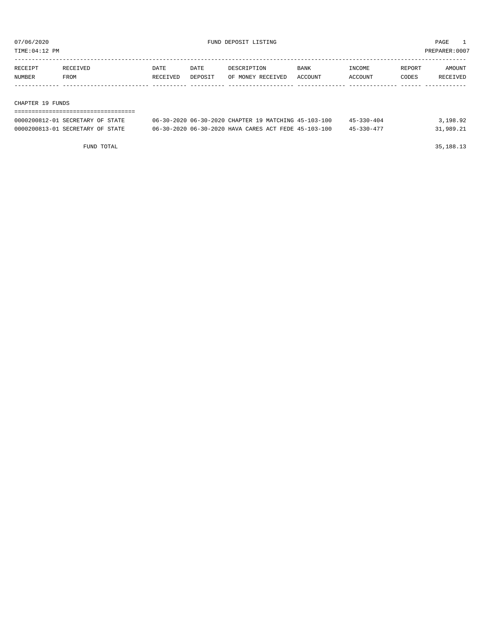TIME:04:12 PM PREPARER:0007

| RECEIPT | <b>RECEIVED</b> | DATE     | DATE    | DESCRIPTION       | <b>BANK</b> | <b>INCOME</b> | <b>REPORT</b> | AMOUNT          |
|---------|-----------------|----------|---------|-------------------|-------------|---------------|---------------|-----------------|
| NUMBER  | FROM            | RECEIVED | DEPOSIT | OF MONEY RECEIVED | ACCOUNT     | ACCOUNT       | CODES         | <b>RECEIVED</b> |
|         |                 |          |         |                   |             |               |               |                 |

#### CHAPTER 19 FUNDS

| 0000200812-01 SECRETARY OF STATE | 06-30-2020 06-30-2020 CHAPTER 19 MATCHING 45-103-100 | $45 - 330 - 404$ | 3,198.92  |
|----------------------------------|------------------------------------------------------|------------------|-----------|
| 0000200813-01 SECRETARY OF STATE | 06-30-2020 06-30-2020 HAVA CARES ACT FEDE 45-103-100 | 45-330-477       | 31,989.21 |

FUND TOTAL 35,188.13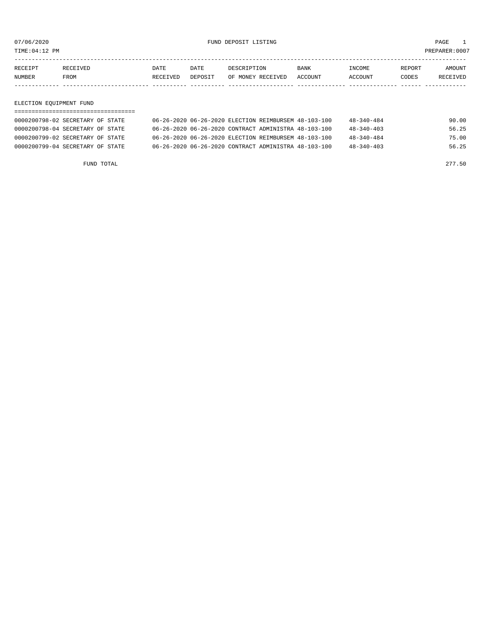TIME:04:12 PM PREPARER:0007

| RECEIPT<br>DATE<br><b>DATE</b><br>REPORT<br>DESCRIPTION<br>RECEIVED<br><b>BANK</b><br><b>TNCOME</b> | <b>NUMBER</b> | FROM | RECEIVED | DEPOSIT | OF MONEY RECEIVED | ACCOUNT | <b>ACCOUNT</b> | CODES | <b>RECEIVED</b> |
|-----------------------------------------------------------------------------------------------------|---------------|------|----------|---------|-------------------|---------|----------------|-------|-----------------|
|                                                                                                     |               |      |          |         |                   |         |                |       | <b>AMOUNT</b>   |

#### ELECTION EQUIPMENT FUND

| 0000200798-02 SECRETARY OF STATE | 06-26-2020 06-26-2020 ELECTION REIMBURSEM 48-103-100 | $48 - 340 - 484$ | 90.00 |
|----------------------------------|------------------------------------------------------|------------------|-------|
| 0000200798-04 SECRETARY OF STATE | 06-26-2020 06-26-2020 CONTRACT ADMINISTRA 48-103-100 | $48 - 340 - 403$ | 56.25 |
| 0000200799-02 SECRETARY OF STATE | 06-26-2020 06-26-2020 ELECTION REIMBURSEM 48-103-100 | $48 - 340 - 484$ | 75.00 |
| 0000200799-04 SECRETARY OF STATE | 06-26-2020 06-26-2020 CONTRACT ADMINISTRA 48-103-100 | $48 - 340 - 403$ | 56.25 |

FUND TOTAL 277.50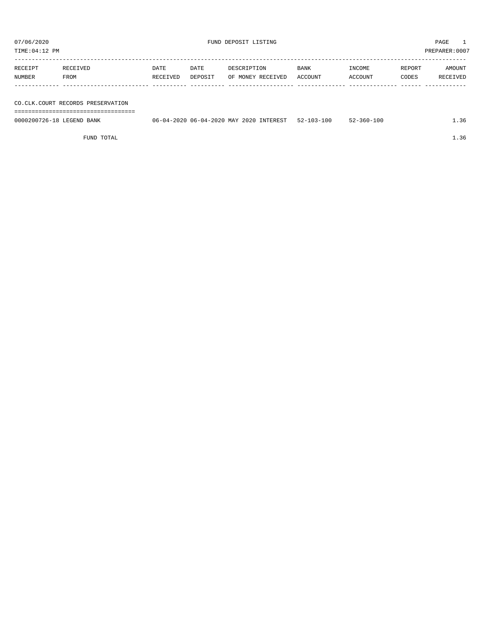TIME:04:12 PM PREPARER:0007

| RECEIPT | RECEIVED | DATE     | DATE    | DESCRIPTION       | <b>BANK</b> | INCOME  | REPORT | AMOUNT   |
|---------|----------|----------|---------|-------------------|-------------|---------|--------|----------|
| NUMBER  | FROM     | RECEIVED | DEPOSIT | OF MONEY RECEIVED | ACCOUNT     | ACCOUNT | CODES  | RECEIVED |
|         |          |          |         |                   |             |         |        |          |
|         |          |          |         |                   |             |         |        |          |

#### CO.CLK.COURT RECORDS PRESERVATION

===================================

| 0000200726-18<br>LEGEND.<br>BANK | 06-04-2020 MAY 2020<br>$-2020$<br>06-04- | $52 - 103 - 1$<br>INTEREST | 100<br>100<br>$560 -$ | - - - - |
|----------------------------------|------------------------------------------|----------------------------|-----------------------|---------|
|                                  |                                          |                            |                       |         |

FUND TOTAL  $1.36$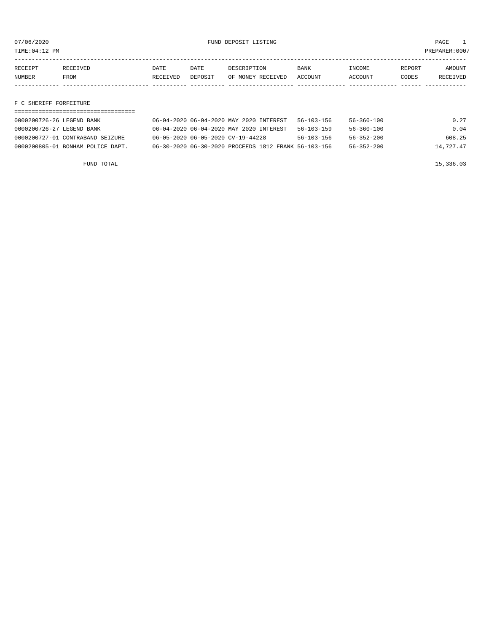TIME:04:12 PM PREPARER:0007

| RECEIPT | RECEIVED | DATE     | DATE    | DESCRIPTION       | <b>BANK</b>    | <b>NCOME</b>  | REPORT | NMOUNT          |
|---------|----------|----------|---------|-------------------|----------------|---------------|--------|-----------------|
| NUMBER  | FROM     | RECEIVED | DEPOSIT | OF MONEY RECEIVED | <b>ACCOUNT</b> | <b>CCOUNT</b> | CODES  | <b>RECEIVED</b> |
|         |          |          |         |                   |                |               |        |                 |

#### F C SHERIFF FORFEITURE

| 0000200726-26 LEGEND BANK         | 06-04-2020 06-04-2020 MAY 2020 INTEREST              | 56-103-156       | 56-360-100       | 0.27      |
|-----------------------------------|------------------------------------------------------|------------------|------------------|-----------|
| 0000200726-27 LEGEND BANK         | 06-04-2020 06-04-2020 MAY 2020 INTEREST              | $56 - 103 - 159$ | $56 - 360 - 100$ | 0.04      |
| 0000200727-01 CONTRABAND SEIZURE  | 06-05-2020 06-05-2020 CV-19-44228                    | $56 - 103 - 156$ | $56 - 352 - 200$ | 608.25    |
| 0000200805-01 BONHAM POLICE DAPT. | 06-30-2020 06-30-2020 PROCEEDS 1812 FRANK 56-103-156 |                  | $56 - 352 - 200$ | 14,727.47 |

FUND TOTAL  $15,336.03$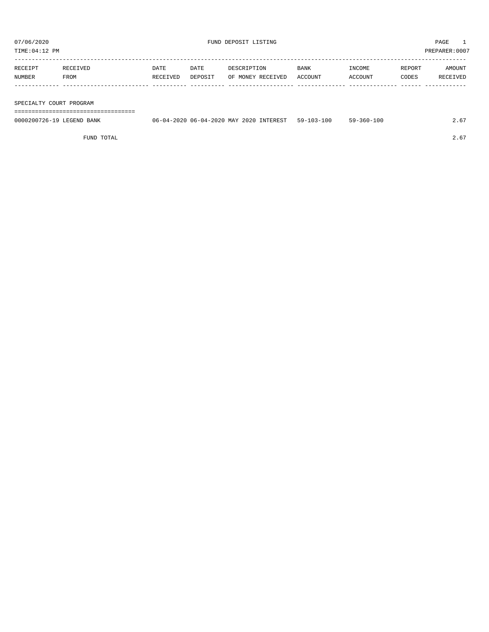TIME:04:12 PM PREPARER:0007

| RECEIPT | RECEIVED | <b>DATE</b> | <b>DATE</b> | DESCRIPTION       | BANK    | INCOME  | REPORT | AMOUNT   |
|---------|----------|-------------|-------------|-------------------|---------|---------|--------|----------|
| NUMBER  | FROM     | RECEIVED    | DEPOSIT     | OF MONEY RECEIVED | ACCOUNT | ACCOUNT | CODES  | RECEIVED |
|         |          |             |             |                   |         |         |        |          |
|         |          |             |             |                   |         |         |        |          |

SPECIALTY COURT PROGRAM

===================================

| 0000200726-19 LEGEND BANK | 06-04-2020 06-04-2020 MAY 2020 INTEREST 59-103-100 | 59-360-100 | 2.67 |
|---------------------------|----------------------------------------------------|------------|------|
|                           |                                                    |            |      |

FUND TOTAL  $2.67$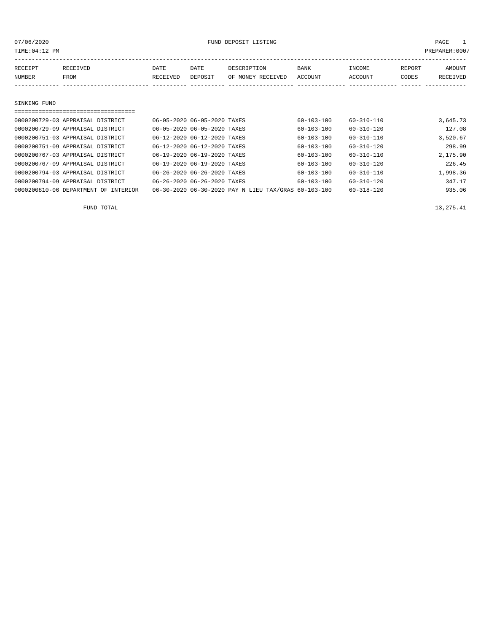or of the control of the control of the control of the control of the control of the control of the control of the control of the control of the control of the control of the control of the control of the control of the co

| RECEIPT       | RECEIVED | DATE     | DATE    | DESCRIPTION       | <b>BANK</b> | INCOME  | REPORT | <b>AMOUNT</b> |
|---------------|----------|----------|---------|-------------------|-------------|---------|--------|---------------|
| <b>NUMBER</b> | FROM     | RECEIVED | DEPOSIT | OF MONEY RECEIVED | ACCOUNT     | ACCOUNT | CODES  | RECEIVED      |
|               |          |          |         |                   |             |         |        |               |
|               |          |          |         |                   |             |         |        |               |

## SINKING FUND

| ==============================       |                             |                                                      |                  |                  |          |
|--------------------------------------|-----------------------------|------------------------------------------------------|------------------|------------------|----------|
| 0000200729-03 APPRAISAL DISTRICT     | 06-05-2020 06-05-2020 TAXES |                                                      | $60 - 103 - 100$ | $60 - 310 - 110$ | 3,645.73 |
| 0000200729-09 APPRAISAL DISTRICT     | 06-05-2020 06-05-2020 TAXES |                                                      | $60 - 103 - 100$ | $60 - 310 - 120$ | 127.08   |
| 0000200751-03 APPRAISAL DISTRICT     | 06-12-2020 06-12-2020 TAXES |                                                      | $60 - 103 - 100$ | $60 - 310 - 110$ | 3,520.67 |
| 0000200751-09 APPRAISAL DISTRICT     | 06-12-2020 06-12-2020 TAXES |                                                      | $60 - 103 - 100$ | $60 - 310 - 120$ | 298.99   |
| 0000200767-03 APPRAISAL DISTRICT     | 06-19-2020 06-19-2020 TAXES |                                                      | $60 - 103 - 100$ | $60 - 310 - 110$ | 2,175.90 |
| 0000200767-09 APPRAISAL DISTRICT     | 06-19-2020 06-19-2020 TAXES |                                                      | $60 - 103 - 100$ | $60 - 310 - 120$ | 226.45   |
| 0000200794-03 APPRAISAL DISTRICT     | 06-26-2020 06-26-2020 TAXES |                                                      | $60 - 103 - 100$ | $60 - 310 - 110$ | 1,998.36 |
| 0000200794-09 APPRAISAL DISTRICT     | 06-26-2020 06-26-2020 TAXES |                                                      | 60-103-100       | 60-310-120       | 347.17   |
| 0000200810-06 DEPARTMENT OF INTERIOR |                             | 06-30-2020 06-30-2020 PAY N LIEU TAX/GRAS 60-103-100 |                  | $60 - 318 - 120$ | 935.06   |

FUND TOTAL  $13,275.41$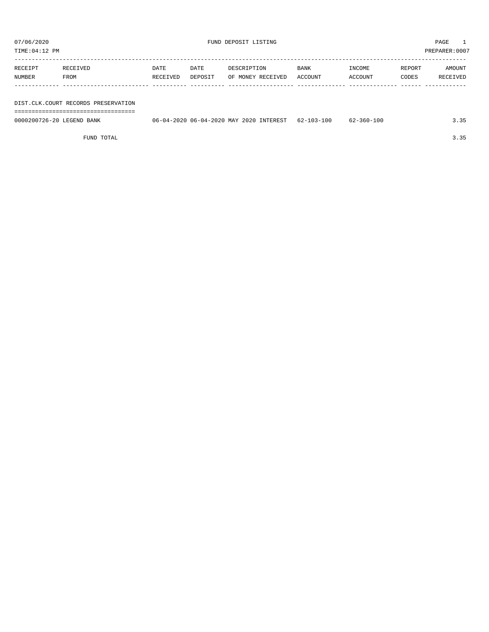07/06/2020 PAGE 1

TIME:04:12 PM PREPARER:0007 ----------------------------------------------------------------------------------------------------------------------------------- RECEIPT RECEIVED DATE DATE DESCRIPTION BANK INCOME REPORT AMOUNT NUMBER FROM RECEIVED DEPOSIT OF MONEY RECEIVED ACCOUNT ACCOUNT CODES RECEIVED ------------- ------------------------- ---------- ---------- ------------------- -------------- -------------- ------ ------------

DIST.CLK.COURT RECORDS PRESERVATION ===================================

0000200726-20 LEGEND BANK 06-04-2020 06-04-2020 MAY 2020 INTEREST 62-103-100 62-360-100 3.35

FUND TOTAL 3.35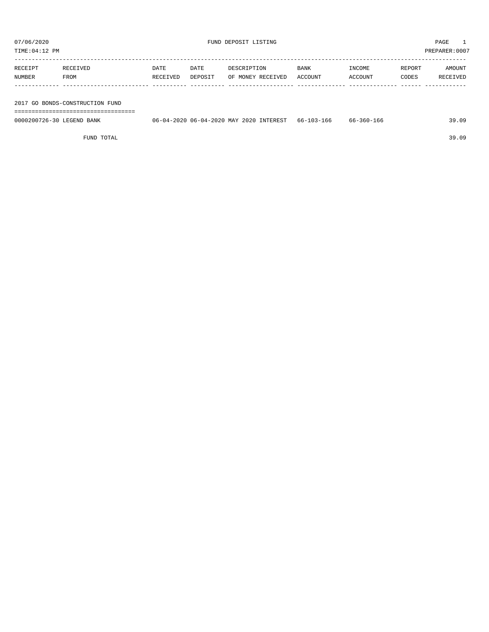TIME:04:12 PM PREPARER:0007

| RECEIPT | RECEIVED | DATE     | DATE    | DESCRIPTION       | <b>BANK</b> | INCOME  | REPORT | AMOUNT   |
|---------|----------|----------|---------|-------------------|-------------|---------|--------|----------|
| NUMBER  | FROM     | RECEIVED | DEPOSIT | OF MONEY RECEIVED | ACCOUNT     | ACCOUNT | CODES  | RECEIVED |
|         |          |          |         |                   |             |         |        |          |
|         |          |          |         |                   |             |         |        |          |
|         |          |          |         |                   |             |         |        |          |

2017 GO BONDS-CONSTRUCTION FUND

===================================

| 0000200726-30<br>LEGEND<br>BANK | 2020<br><b>INTEREST</b><br>06-04-2020 MAY<br>$06 - 04 - 1$ | $\sim$<br>$103 -$<br>$b -$<br>166 | $-360 - 166$<br>66- | ה כ<br>9.09ء |
|---------------------------------|------------------------------------------------------------|-----------------------------------|---------------------|--------------|
|                                 |                                                            |                                   |                     |              |

FUND TOTAL 39.09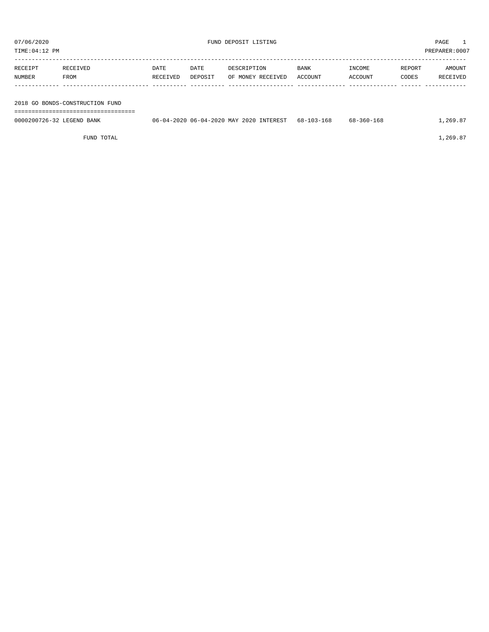| TIME:04:12 PM             |                                 |                  |                 |                                         |                 |                          |                 | PREPARER:0007      |
|---------------------------|---------------------------------|------------------|-----------------|-----------------------------------------|-----------------|--------------------------|-----------------|--------------------|
| RECEIPT<br>NUMBER         | RECEIVED<br>FROM                | DATE<br>RECEIVED | DATE<br>DEPOSIT | DESCRIPTION<br>OF MONEY RECEIVED        | BANK<br>ACCOUNT | <b>TNCOME</b><br>ACCOUNT | REPORT<br>CODES | AMOUNT<br>RECEIVED |
|                           | 2018 GO BONDS-CONSTRUCTION FUND |                  |                 |                                         |                 |                          |                 |                    |
| 0000200726-32 LEGEND BANK |                                 |                  |                 | 06-04-2020 06-04-2020 MAY 2020 INTEREST | 68-103-168      | 68-360-168               |                 | 1,269.87           |

FUND TOTAL  $1,269.87$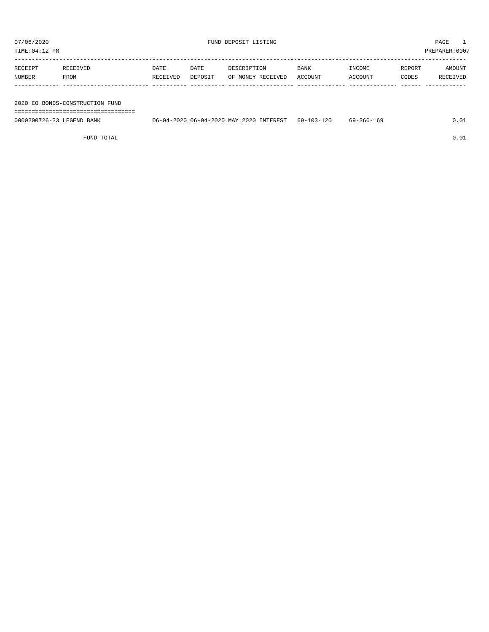TIME:04:12 PM PREPARER:0007

| RECEIPT | RECEIVED | <b>DATE</b> | DATE    | DESCRIPTION       | <b>BANK</b> | INCOME  | REPORT | AMOUNT   |
|---------|----------|-------------|---------|-------------------|-------------|---------|--------|----------|
| NUMBER  | FROM     | RECEIVED    | DEPOSIT | OF MONEY RECEIVED | ACCOUNT     | ACCOUNT | CODES  | RECEIVED |
|         |          |             |         |                   |             |         |        |          |
|         |          |             |         |                   |             |         |        |          |

2020 CO BONDS-CONSTRUCTION FUND

===================================

| 0000200726-33 LEGEND BANK | 06-04-2020 06-04-2020 MAY 2020 INTEREST | 69-103-120 | 69-360-169 |  |
|---------------------------|-----------------------------------------|------------|------------|--|
|                           |                                         |            |            |  |

FUND TOTAL  $0.01$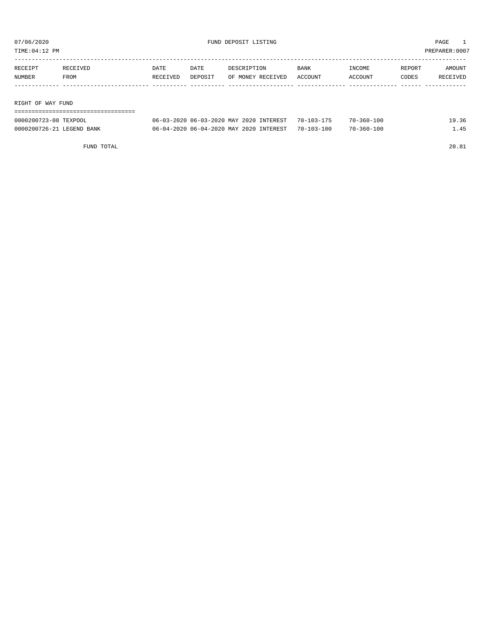TIME:04:12 PM PREPARER:0007

| RECEIPT           | RECEIVED | DATE     | DATE    | DESCRIPTION       | <b>BANK</b> | INCOME  | REPORT | AMOUNT   |
|-------------------|----------|----------|---------|-------------------|-------------|---------|--------|----------|
| NUMBER            | FROM     | RECEIVED | DEPOSIT | OF MONEY RECEIVED | ACCOUNT     | ACCOUNT | CODES  | RECEIVED |
|                   |          |          |         |                   |             |         |        |          |
|                   |          |          |         |                   |             |         |        |          |
| RIGHT OF WAY FUND |          |          |         |                   |             |         |        |          |

===================================

| 0000200723-08 TEXPOOL     | 06-03-2020 06-03-2020 MAY 2020 INTEREST 70-103-175 | $70 - 360 - 100$ | 19.36 |
|---------------------------|----------------------------------------------------|------------------|-------|
| 0000200726-21 LEGEND BANK | 06-04-2020 06-04-2020 MAY 2020 INTEREST 70-103-100 | $70 - 360 - 100$ | L.45  |

FUND TOTAL 20.81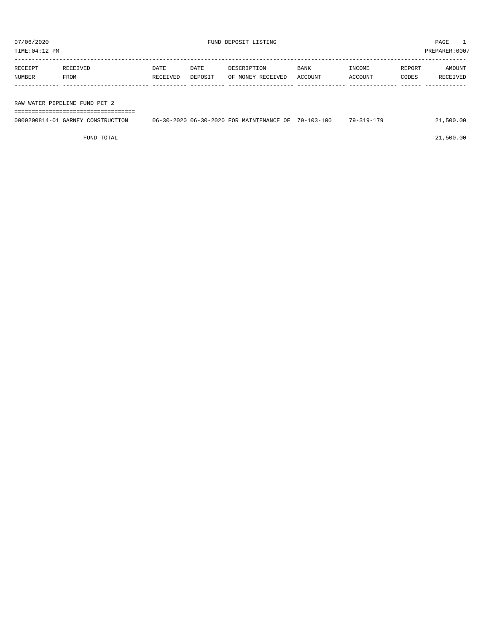TIME:04:12 PM PREPARER:0007

| RECEIPT | RECEIVED                      | DATE     | DATE    | DESCRIPTION       | <b>BANK</b> | INCOME  | REPORT | AMOUNT   |
|---------|-------------------------------|----------|---------|-------------------|-------------|---------|--------|----------|
| NUMBER  | FROM                          | RECEIVED | DEPOSIT | OF MONEY RECEIVED | ACCOUNT     | ACCOUNT | CODES  | RECEIVED |
|         |                               |          |         |                   |             |         |        |          |
|         |                               |          |         |                   |             |         |        |          |
|         | RAW WATER PIPELINE FUND PCT 2 |          |         |                   |             |         |        |          |

===================================

| 0000200814-01 GARNEY 0<br>CONSTRUCTION | MAINTENANCE OF<br>06-30-2020 06-30-2020 FOR | $-103 - 100$<br>$79 - 1$ | 79-<br>ີ 1 Q _ | .00<br>.500. |
|----------------------------------------|---------------------------------------------|--------------------------|----------------|--------------|
|                                        |                                             |                          |                |              |

FUND TOTAL 21,500.00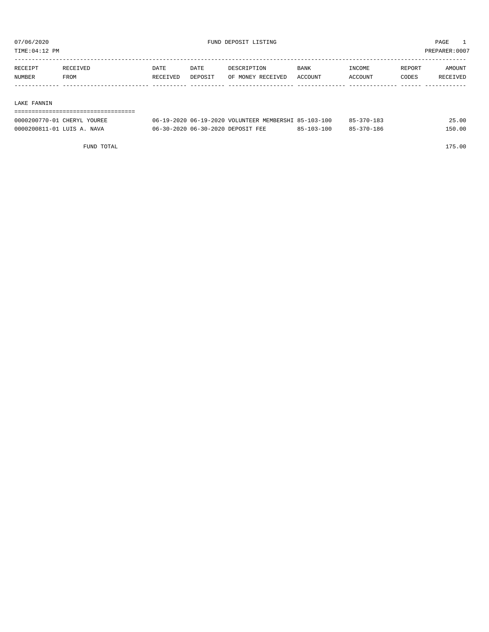TIME:04:12 PM PREPARER:0007

| RECEIPT | RECEIVED    | DATE     | DATE    | DESCRIPTION       | <b>BANK</b> | INCOME  | REPORT | AMOUNT   |
|---------|-------------|----------|---------|-------------------|-------------|---------|--------|----------|
| NUMBER  | <b>FROM</b> | RECEIVED | DEPOSIT | OF MONEY RECEIVED | ACCOUNT     | ACCOUNT | CODES  | RECEIVED |
|         |             |          |         |                   |             |         |        |          |

#### LAKE FANNIN

| ---------------------       |                                                      |                  |                  |        |
|-----------------------------|------------------------------------------------------|------------------|------------------|--------|
| 0000200770-01 CHERYL YOUREE | 06-19-2020 06-19-2020 VOLUNTEER MEMBERSHI 85-103-100 |                  | $85 - 370 - 183$ | 25.00  |
| 0000200811-01 LUIS A. NAVA  | 06-30-2020 06-30-2020 DEPOSIT FEE                    | $85 - 103 - 100$ | 85-370-186       | 150.00 |

FUND TOTAL 175.00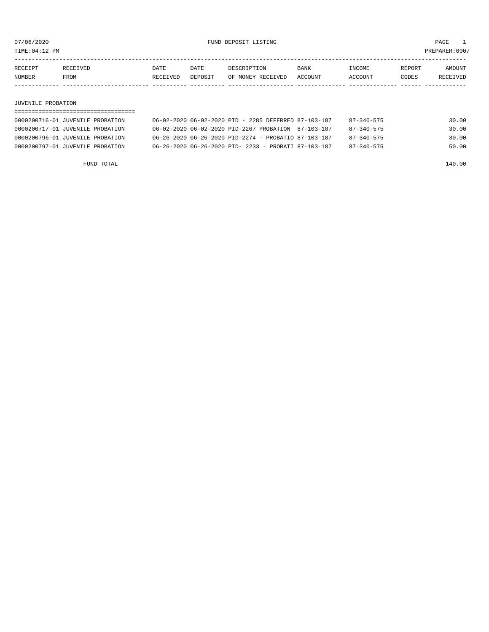TIME:04:12 PM PREPARER:0007

| RECEIPT | <b>RECEIVED</b> | DATE     | DATE    | DESCRIPTION       | <b>BANK</b> | NCOME <sup></sup> | REPORT | AMOUNT |
|---------|-----------------|----------|---------|-------------------|-------------|-------------------|--------|--------|
| NUMBER  | FROM            | RECEIVED | DEPOSIT | OF MONEY RECEIVED | ACCOUNT     | <b>CCOUNT</b>     | CODES  | CEIVED |
|         |                 |          |         |                   |             |                   |        |        |

#### JUVENILE PROBATION

| 0000200716-01 JUVENILE PROBATION | 06-02-2020 06-02-2020 PID - 2285 DEFERRED 87-103-187 | 87-340-575       | 30.00 |
|----------------------------------|------------------------------------------------------|------------------|-------|
| 0000200717-01 JUVENILE PROBATION | 06-02-2020 06-02-2020 PID-2267 PROBATION 87-103-187  | $87 - 340 - 575$ | 30.00 |
| 0000200796-01 JUVENILE PROBATION | 06-26-2020 06-26-2020 PID-2274 - PROBATIO 87-103-187 | $87 - 340 - 575$ | 30.00 |
| 0000200797-01 JUVENILE PROBATION | 06-26-2020 06-26-2020 PID- 2233 - PROBATI 87-103-187 | $87 - 340 - 575$ | 50.00 |

FUND TOTAL 140.00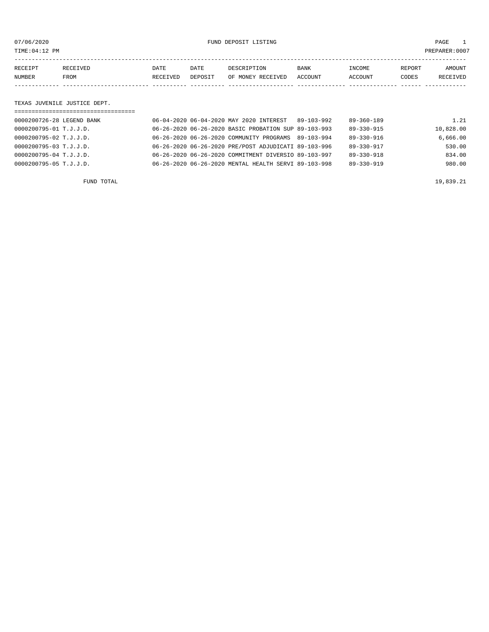or of the control of the control of the control of the control of the control of the control of the control of the control of the control of the control of the control of the control of the control of the control of the co

| RECEIPT | <b>RECEIVED</b> | DATE            | DATE    | DESCRIPTION       | BANK    | INCOME         | REPORT | AMOUNT          |
|---------|-----------------|-----------------|---------|-------------------|---------|----------------|--------|-----------------|
| NUMBER  | FROM            | <b>RECEIVED</b> | DEPOSIT | OF MONEY RECEIVED | ACCOUNT | <b>ACCOUNT</b> | CODES  | <b>RECEIVED</b> |
|         |                 |                 |         |                   |         |                |        |                 |

#### TEXAS JUVENILE JUSTICE DEPT.

| =================================== |  |                                                      |            |                  |           |
|-------------------------------------|--|------------------------------------------------------|------------|------------------|-----------|
| 0000200726-28 LEGEND BANK           |  | 06-04-2020 06-04-2020 MAY 2020 INTEREST              | 89-103-992 | $89 - 360 - 189$ | 1.21      |
| 0000200795-01 T.J.J.D.              |  | 06-26-2020 06-26-2020 BASIC PROBATION SUP 89-103-993 |            | 89-330-915       | 10,828.00 |
| 0000200795-02 T.J.J.D.              |  | 06-26-2020 06-26-2020 COMMUNITY PROGRAMS 89-103-994  |            | $89 - 330 - 916$ | 6.666.00  |
| 0000200795-03 T.J.J.D.              |  | 06-26-2020 06-26-2020 PRE/POST ADJUDICATI 89-103-996 |            | 89-330-917       | 530.00    |
| 0000200795-04 T.J.J.D.              |  | 06-26-2020 06-26-2020 COMMITMENT DIVERSIO 89-103-997 |            | $89 - 330 - 918$ | 834.00    |
| 0000200795-05 T.J.J.D.              |  | 06-26-2020 06-26-2020 MENTAL HEALTH SERVI 89-103-998 |            | $89 - 330 - 919$ | 980.00    |
|                                     |  |                                                      |            |                  |           |

FUND TOTAL  $19,839.21$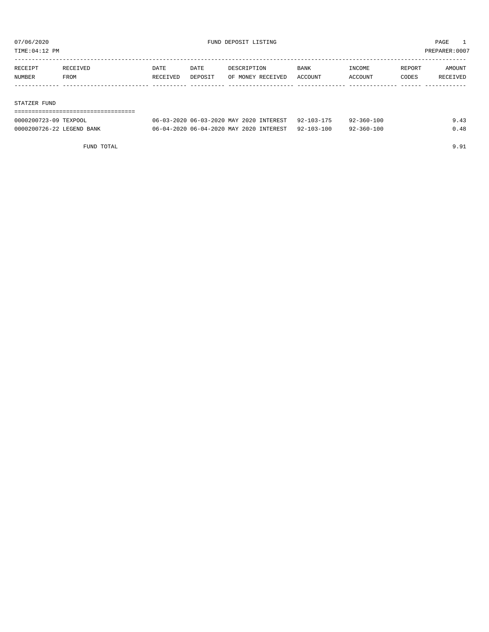TIME:04:12 PM PREPARER:0007

| RECEIPT | RECEIVED | <b>DATE</b> | DATE    | DESCRIPTION       | <b>BANK</b> | INCOME  | REPORT | AMOUNT   |
|---------|----------|-------------|---------|-------------------|-------------|---------|--------|----------|
| NUMBER  | FROM     | RECEIVED    | DEPOSIT | OF MONEY RECEIVED | ACCOUNT     | ACCOUNT | CODES  | RECEIVED |
|         |          |             |         |                   |             |         |        |          |
|         |          |             |         |                   |             |         |        |          |

#### STATZER FUND

| ----------------------------------- |                                                    |            |      |
|-------------------------------------|----------------------------------------------------|------------|------|
| 0000200723-09 TEXPOOL               | 06-03-2020 06-03-2020 MAY 2020 INTEREST 92-103-175 | 92-360-100 | 9.43 |
| 0000200726-22 LEGEND BANK           | 06-04-2020 06-04-2020 MAY 2020 INTEREST 92-103-100 | 92-360-100 | 0.48 |

FUND TOTAL 9.91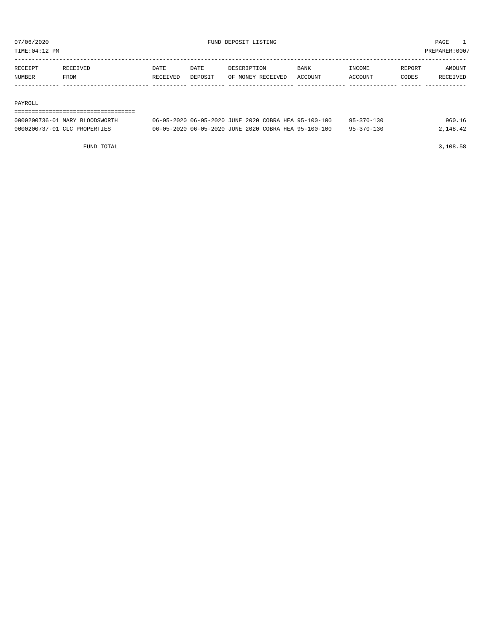TIME:04:12 PM PREPARER:0007

| RECEIPT       | RECEIVED. | DATE     | DATE    | DESCRIPTION       | BANK    | <b>NCOME</b> | REPORT | AMOUNT          |
|---------------|-----------|----------|---------|-------------------|---------|--------------|--------|-----------------|
| <b>NUMBER</b> | FROM      | RECEIVED | DEPOSIT | OF MONEY RECEIVED | ACCOUNT | ACCOUNT      | CODES  | <b>RECEIVED</b> |
|               |           |          |         |                   |         |              |        |                 |

#### PAYROLL

#### ===================================

| 0000200736-01 MARY BLOODSWORTH | 06-05-2020 06-05-2020 JUNE 2020 COBRA HEA 95-100-100 | $95 - 370 - 130$ | 960.16   |
|--------------------------------|------------------------------------------------------|------------------|----------|
| 0000200737-01 CLC PROPERTIES   | 06-05-2020 06-05-2020 JUNE 2020 COBRA HEA 95-100-100 | $95 - 370 - 130$ | 2,148.42 |

FUND TOTAL 3,108.58